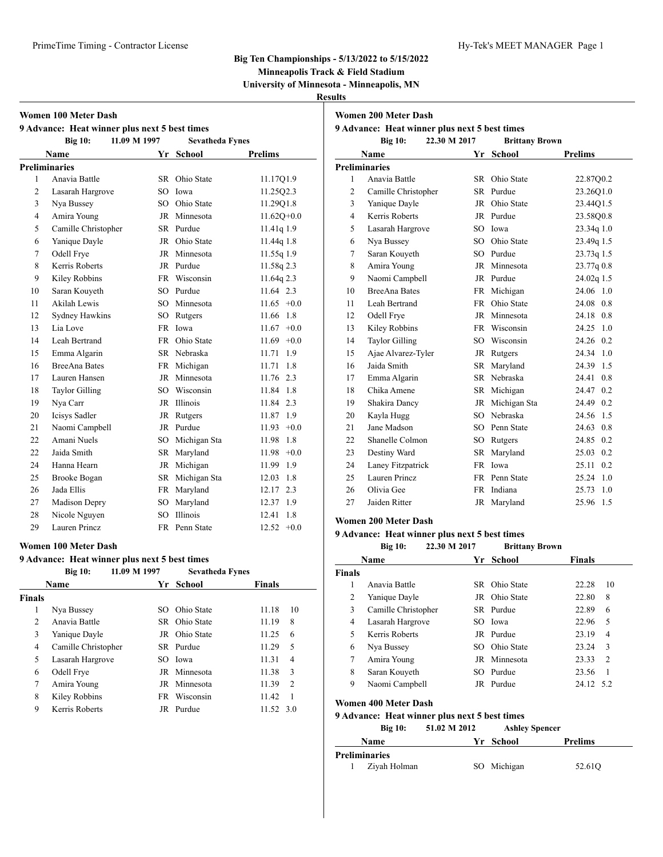**Minneapolis Track & Field Stadium**

**University of Minnesota - Minneapolis, MN**

**Results**

|                | <b>Women 100 Meter Dash</b>                   |              |                        |                 |
|----------------|-----------------------------------------------|--------------|------------------------|-----------------|
|                | 9 Advance: Heat winner plus next 5 best times |              |                        |                 |
|                | <b>Big 10:</b>                                | 11.09 M 1997 | <b>Sevatheda Fynes</b> |                 |
|                | Name                                          |              | Yr School              | <b>Prelims</b>  |
|                | <b>Preliminaries</b>                          |              |                        |                 |
| 1              | Anavia Battle                                 | SR           | Ohio State             | 11.17Q1.9       |
| $\overline{c}$ | Lasarah Hargrove                              |              | SO Iowa                | 11.25Q2.3       |
| 3              | Nya Bussey                                    |              | SO Ohio State          | 11.29Q1.8       |
| 4              | Amira Young                                   |              | JR Minnesota           | $11.62Q+0.0$    |
| 5              | Camille Christopher                           |              | SR Purdue              | $11.41q$ 1.9    |
| 6              | Yanique Dayle                                 |              | JR Ohio State          | 11.44q 1.8      |
| 7              | Odell Frye                                    |              | JR Minnesota           | 11.55q 1.9      |
| 8              | Kerris Roberts                                |              | JR Purdue              | 11.58q 2.3      |
| 9              | <b>Kiley Robbins</b>                          | <b>FR</b>    | Wisconsin              | 11.64q 2.3      |
| 10             | Saran Kouyeth                                 |              | SO Purdue              | 11.64 2.3       |
| 11             | Akilah Lewis                                  |              | SO Minnesota           | 11.65<br>$+0.0$ |
| 12             | <b>Sydney Hawkins</b>                         |              | SO Rutgers             | 11.66<br>1.8    |
| 13             | Lia Love                                      |              | FR Iowa                | $11.67 + 0.0$   |
| 14             | Leah Bertrand                                 | FR -         | Ohio State             | $11.69 + 0.0$   |
| 15             | Emma Algarin                                  |              | SR Nebraska            | 11.71<br>1.9    |
| 16             | <b>BreeAna Bates</b>                          |              | FR Michigan            | 11.71<br>1.8    |
| 17             | Lauren Hansen                                 |              | JR Minnesota           | 2.3<br>11.76    |
| 18             | <b>Taylor Gilling</b>                         |              | SO Wisconsin           | 1.8<br>11.84    |
| 19             | Nya Carr                                      |              | JR Illinois            | 2.3<br>11.84    |
| 20             | Icisys Sadler                                 | JR           | Rutgers                | 11.87<br>1.9    |
| 21             | Naomi Campbell                                |              | JR Purdue              | 11.93<br>$+0.0$ |
| 22             | Amani Nuels                                   |              | SO Michigan Sta        | 1.8<br>11.98    |
| 22             | Jaida Smith                                   |              | SR Maryland            | $11.98 + 0.0$   |
| 24             | Hanna Hearn                                   | JR           | Michigan               | 11.99<br>1.9    |
| 25             | Brooke Bogan                                  | SR           | Michigan Sta           | 12.03<br>1.8    |
| 26             | Jada Ellis                                    | FR           | Maryland               | 2.3<br>12.17    |
| 27             | <b>Madison Depry</b>                          |              | SO Maryland            | 12.37<br>1.9    |
| 28             | Nicole Nguyen                                 | SO           | Illinois               | 1.8<br>12.41    |
| 29             | Lauren Princz                                 | FR           | Penn State             | 12.52<br>$+0.0$ |

#### **Women 100 Meter Dash**

## **9 Advance: Heat winner plus next 5 best times**

|                | <b>Big 10:</b>      | 11.09 M 1997 | <b>Sevatheda Fynes</b> |                         |  |
|----------------|---------------------|--------------|------------------------|-------------------------|--|
|                | <b>Name</b>         | Yr.          | School                 | <b>Finals</b>           |  |
| <b>Finals</b>  |                     |              |                        |                         |  |
| 1              | Nya Bussey          |              | SO Ohio State          | 11.18<br>10             |  |
| $\overline{2}$ | Anavia Battle       |              | SR Ohio State          | 8<br>11.19              |  |
| 3              | Yanique Dayle       |              | JR Ohio State          | 11.25<br>6              |  |
| 4              | Camille Christopher |              | SR Purdue              | 5<br>11.29              |  |
| 5              | Lasarah Hargrove    |              | SO Iowa                | 11.31<br>4              |  |
| 6              | Odell Frye          |              | JR Minnesota           | 3<br>11.38              |  |
| 7              | Amira Young         |              | JR Minnesota           | 11.39<br>$\overline{c}$ |  |
| 8              | Kiley Robbins       |              | FR Wisconsin           | 11.42<br>1              |  |
| 9              | Kerris Roberts      | JR           | Purdue                 | $11.52 \quad 3.0$       |  |
|                |                     |              |                        |                         |  |

|                | Women 200 Meter Dash                          |           |                       |                   |
|----------------|-----------------------------------------------|-----------|-----------------------|-------------------|
|                | 9 Advance: Heat winner plus next 5 best times |           |                       |                   |
|                | <b>Big 10:</b><br>22.30 M 2017                |           | <b>Brittany Brown</b> |                   |
|                | Name                                          | Yr        | <b>School</b>         | <b>Prelims</b>    |
|                | <b>Preliminaries</b>                          |           |                       |                   |
| 1              | Anavia Battle                                 | SR –      | Ohio State            | 22.87Q0.2         |
| $\overline{c}$ | Camille Christopher                           | SR        | Purdue                | 23.26Q1.0         |
| 3              | Yanique Dayle                                 | JR.       | Ohio State            | 23.44Q1.5         |
| $\overline{4}$ | Kerris Roberts                                |           | JR Purdue             | 23.58Q0.8         |
| 5              | Lasarah Hargrove                              |           | SO Iowa               | 23.34q 1.0        |
| 6              | Nya Bussey                                    |           | SO Ohio State         | 23.49q 1.5        |
| 7              | Saran Kouyeth                                 | SO.       | Purdue                | 23.73q 1.5        |
| 8              | Amira Young                                   | JR        | Minnesota             | 23.77q 0.8        |
| 9              | Naomi Campbell                                |           | JR Purdue             | 24.02g 1.5        |
| 10             | <b>BreeAna Bates</b>                          |           | FR Michigan           | 24.06 1.0         |
| 11             | Leah Bertrand                                 | FR -      | Ohio State            | 24.08 0.8         |
| 12             | Odell Frye                                    | JR        | Minnesota             | 24.18 0.8         |
| 13             | Kiley Robbins                                 |           | FR Wisconsin          | $24.25 \quad 1.0$ |
| 14             | <b>Taylor Gilling</b>                         |           | SO Wisconsin          | 24.26 0.2         |
| 15             | Ajae Alvarez-Tyler                            |           | JR Rutgers            | 24.34 1.0         |
| 16             | Jaida Smith                                   |           | SR Maryland           | 24.39 1.5         |
| 17             | Emma Algarin                                  | SR –      | Nebraska              | 24.41<br>0.8      |
| 18             | Chika Amene                                   |           | SR Michigan           | 24.47 0.2         |
| 19             | Shakira Dancy                                 |           | JR Michigan Sta       | 24.49 0.2         |
| 20             | Kayla Hugg                                    |           | SO Nebraska           | 24.56 1.5         |
| 21             | Jane Madson                                   |           | SO Penn State         | 24.63 0.8         |
| 22             | Shanelle Colmon                               | SO.       | Rutgers               | 0.2<br>24.85      |
| 23             | Destiny Ward                                  |           | SR Maryland           | 25.03 0.2         |
| 24             | Laney Fitzpatrick                             | <b>FR</b> | Iowa                  | 0.2<br>25.11      |
| 25             | Lauren Princz                                 | FR        | Penn State            | 25.24<br>1.0      |
| 26             | Olivia Gee                                    |           | FR Indiana            | 25.73<br>1.0      |

#### **Women 200 Meter Dash**

#### **9 Advance: Heat winner plus next 5 best times**

| 22.30 M 2017<br><b>Big 10:</b> | <b>Brittany Brown</b> |
|--------------------------------|-----------------------|
|--------------------------------|-----------------------|

|               | Name                | Yr School     | <b>Finals</b> |                |
|---------------|---------------------|---------------|---------------|----------------|
| <b>Finals</b> |                     |               |               |                |
|               | Anavia Battle       | SR Ohio State | 22.28         | 10             |
| 2             | Yanique Dayle       | JR Ohio State | 22.80         | 8              |
| 3             | Camille Christopher | SR Purdue     | 22.89         | 6              |
| 4             | Lasarah Hargrove    | SO Iowa       | 22.96         | 5              |
| 5             | Kerris Roberts      | JR Purdue     | 23.19         | $\overline{4}$ |
| 6             | Nya Bussey          | SO Ohio State | 23.24         | 3              |
| 7             | Amira Young         | JR Minnesota  | 23.33         | $\overline{2}$ |
| 8             | Saran Kouyeth       | SO Purdue     | 23.56         | 1              |
| 9             | Naomi Campbell      | JR Purdue     | 24.12         | 5.2            |

Jaiden Ritter JR Maryland 25.96 1.5

## **Women 400 Meter Dash**

## **9 Advance: Heat winner plus next 5 best times**

| Big 10: | 51.02 M 2012 | <b>Ashley Spencer</b> |
|---------|--------------|-----------------------|
|---------|--------------|-----------------------|

| Name                 | Yr School   | <b>Prelims</b> |
|----------------------|-------------|----------------|
| <b>Preliminaries</b> |             |                |
| Ziyah Holman         | SO Michigan | 52.61Q         |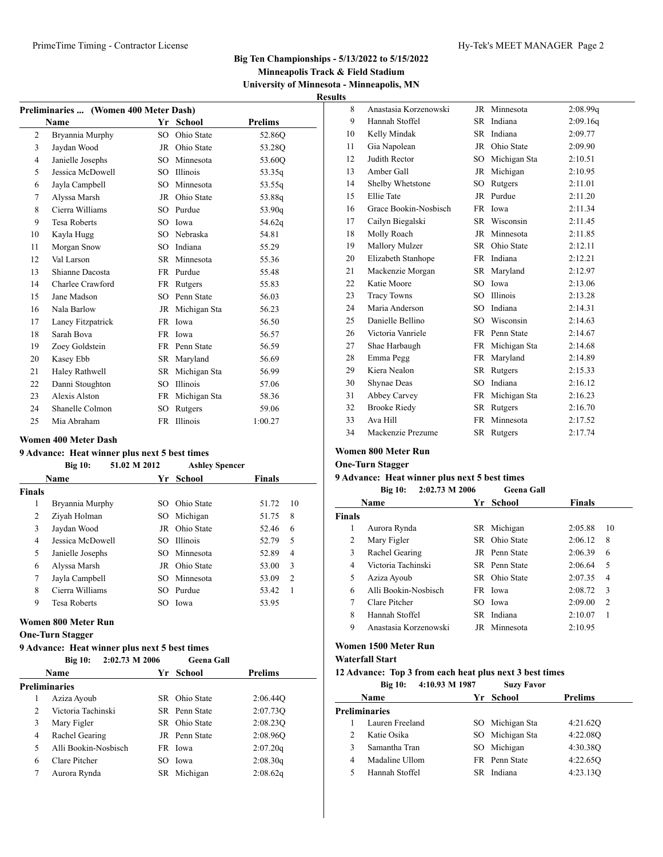**Minneapolis Track & Field Stadium University of Minnesota - Minneapolis, MN**

**Results**

|                | Preliminaries  (Women 400 Meter Dash) |           |               |                |  |  |
|----------------|---------------------------------------|-----------|---------------|----------------|--|--|
|                | Name                                  | Yr        | <b>School</b> | <b>Prelims</b> |  |  |
| $\overline{2}$ | Bryannia Murphy                       | SO        | Ohio State    | 52.86Q         |  |  |
| 3              | Jaydan Wood                           | JR        | Ohio State    | 53.28O         |  |  |
| $\overline{4}$ | Janielle Josephs                      | SO        | Minnesota     | 53.60Q         |  |  |
| 5              | Jessica McDowell                      | SO        | Illinois      | 53.35q         |  |  |
| 6              | Jayla Campbell                        | SO        | Minnesota     | 53.55q         |  |  |
| 7              | Alyssa Marsh                          | <b>JR</b> | Ohio State    | 53.88q         |  |  |
| 8              | Cierra Williams                       | SO        | Purdue        | 53.90q         |  |  |
| 9              | <b>Tesa Roberts</b>                   | SO.       | Iowa          | 54.62g         |  |  |
| 10             | Kayla Hugg                            | SO.       | Nebraska      | 54.81          |  |  |
| 11             | Morgan Snow                           | SO.       | Indiana       | 55.29          |  |  |
| 12             | Val Larson                            | SR.       | Minnesota     | 55.36          |  |  |
| 13             | Shianne Dacosta                       |           | FR Purdue     | 55.48          |  |  |
| 14             | Charlee Crawford                      | FR        | Rutgers       | 55.83          |  |  |
| 15             | Jane Madson                           | SO.       | Penn State    | 56.03          |  |  |
| 16             | Nala Barlow                           | JR        | Michigan Sta  | 56.23          |  |  |
| 17             | Laney Fitzpatrick                     | FR        | Iowa          | 56.50          |  |  |
| 18             | Sarah Bova                            | <b>FR</b> | Iowa          | 56.57          |  |  |
| 19             | Zoey Goldstein                        | <b>FR</b> | Penn State    | 56.59          |  |  |
| 20             | Kasey Ebb                             | SR        | Maryland      | 56.69          |  |  |
| 21             | Haley Rathwell                        | <b>SR</b> | Michigan Sta  | 56.99          |  |  |
| 22             | Danni Stoughton                       | SO        | Illinois      | 57.06          |  |  |
| 23             | Alexis Alston                         | FR        | Michigan Sta  | 58.36          |  |  |
| 24             | Shanelle Colmon                       | SO        | Rutgers       | 59.06          |  |  |
| 25             | Mia Abraham                           | FR        | Illinois      | 1:00.27        |  |  |

## **Women 400 Meter Dash**

## **9 Advance: Heat winner plus next 5 best times**

|                | <b>Big 10:</b>      | 51.02 M 2012 | <b>Ashley Spencer</b> |               |                |
|----------------|---------------------|--------------|-----------------------|---------------|----------------|
|                | <b>Name</b>         | Yr           | <b>School</b>         | <b>Finals</b> |                |
| <b>Finals</b>  |                     |              |                       |               |                |
| 1              | Bryannia Murphy     | SO           | Ohio State            | 51.72         | 10             |
| $\overline{2}$ | Ziyah Holman        |              | SO Michigan           | 51.75         | 8              |
| 3              | Jaydan Wood         |              | JR Ohio State         | 52.46         | 6              |
| 4              | Jessica McDowell    | SO.          | <i>Illinois</i>       | 52.79         | 5              |
| 5              | Janielle Josephs    |              | SO Minnesota          | 52.89         | 4              |
| 6              | Alyssa Marsh        |              | JR Ohio State         | 53.00         | 3              |
| 7              | Jayla Campbell      |              | SO Minnesota          | 53.09         | $\overline{c}$ |
| 8              | Cierra Williams     |              | SO Purdue             | 53.42         | 1              |
| 9              | <b>Tesa Roberts</b> | SO.          | Iowa                  | 53.95         |                |
|                |                     |              |                       |               |                |

#### **Women 800 Meter Run**

## **One-Turn Stagger**

# **9 Advance: Heat winner plus next 5 best times**

|                      | 2:02.73 M 2006<br><b>Big 10:</b> | <b>Geena Gall</b> |                |
|----------------------|----------------------------------|-------------------|----------------|
|                      | Name                             | Yr School         | <b>Prelims</b> |
| <b>Preliminaries</b> |                                  |                   |                |
| 1                    | Aziza Ayoub                      | SR Ohio State     | 2:06.44Q       |
| $\mathfrak{D}$       | Victoria Tachinski               | SR Penn State     | 2:07.730       |
| 3                    | Mary Figler                      | SR Ohio State     | 2:08.230       |
| 4                    | Rachel Gearing                   | JR Penn State     | 2:08.960       |
| 5                    | Alli Bookin-Nosbisch             | FR Iowa           | 2:07.20q       |
| 6                    | Clare Pitcher                    | SO Iowa           | 2:08.30q       |
|                      | Aurora Rynda                     | SR Michigan       | 2:08.62q       |

| 8  | Anastasia Korzenowski | JR        | Minnesota       | 2:08.99q |
|----|-----------------------|-----------|-----------------|----------|
| 9  | Hannah Stoffel        | SR.       | Indiana         | 2:09.16q |
| 10 | Kelly Mindak          | SR        | Indiana         | 2:09.77  |
| 11 | Gia Napolean          | JR        | Ohio State      | 2:09.90  |
| 12 | Judith Rector         | SO.       | Michigan Sta    | 2:10.51  |
| 13 | Amber Gall            | <b>JR</b> | Michigan        | 2:10.95  |
| 14 | Shelby Whetstone      | SO.       | Rutgers         | 2:11.01  |
| 15 | Ellie Tate            | JR        | Purdue          | 2:11.20  |
| 16 | Grace Bookin-Nosbisch | FR        | Iowa            | 2:11.34  |
| 17 | Cailyn Biegalski      | SR        | Wisconsin       | 2:11.45  |
| 18 | Molly Roach           | JR        | Minnesota       | 2:11.85  |
| 19 | <b>Mallory Mulzer</b> | SR.       | Ohio State      | 2:12.11  |
| 20 | Elizabeth Stanhope    | <b>FR</b> | Indiana         | 2:12.21  |
| 21 | Mackenzie Morgan      | SR        | Maryland        | 2:12.97  |
| 22 | Katie Moore           | SO.       | Iowa            | 2:13.06  |
| 23 | <b>Tracy Towns</b>    | SO.       | <b>Illinois</b> | 2:13.28  |
| 24 | Maria Anderson        | SO.       | Indiana         | 2:14.31  |
| 25 | Danielle Bellino      | SO.       | Wisconsin       | 2:14.63  |
| 26 | Victoria Vanriele     | <b>FR</b> | Penn State      | 2:14.67  |
| 27 | Shae Harbaugh         | FR        | Michigan Sta    | 2:14.68  |
| 28 | Emma Pegg             | FR        | Maryland        | 2:14.89  |
| 29 | Kiera Nealon          | <b>SR</b> | Rutgers         | 2:15.33  |
| 30 | Shynae Deas           | SO.       | Indiana         | 2:16.12  |
| 31 | Abbey Carvey          | FR        | Michigan Sta    | 2:16.23  |
| 32 | <b>Brooke Riedy</b>   | <b>SR</b> | Rutgers         | 2:16.70  |
| 33 | Ava Hill              | FR        | Minnesota       | 2:17.52  |

Mackenzie Prezume SR Rutgers 2:17.74

#### **Women 800 Meter Run**

## **One-Turn Stagger**

#### **9 Advance: Heat winner plus next 5 best times Big 10: 2:02.73 M 2006 Geena Gall**

|               | <b>Big 10:</b><br>2:02.73 M 2006 | Geena Gall    |               |                |
|---------------|----------------------------------|---------------|---------------|----------------|
|               | Name                             | Yr School     | <b>Finals</b> |                |
| <b>Finals</b> |                                  |               |               |                |
| 1             | Aurora Rynda                     | SR Michigan   | 2:05.88       | 10             |
| 2             | Mary Figler                      | SR Ohio State | 2:06.12       | 8              |
| 3             | Rachel Gearing                   | JR Penn State | 2:06.39       | 6              |
| 4             | Victoria Tachinski               | SR Penn State | 2:06.64       | 5              |
| 5             | Aziza Ayoub                      | SR Ohio State | 2:07.35       | 4              |
| 6             | Alli Bookin-Nosbisch             | FR Iowa       | 2:08.72       | 3              |
| 7             | Clare Pitcher                    | SO Iowa       | 2:09.00       | $\overline{2}$ |
| 8             | Hannah Stoffel                   | SR Indiana    | 2:10.07       | 1              |
| 9             | Anastasia Korzenowski            | JR Minnesota  | 2:10.95       |                |
|               |                                  |               |               |                |

#### **Women 1500 Meter Run**

**Waterfall Start**

## **12 Advance: Top 3 from each heat plus next 3 best times**

**Big 10: 4:10.93 M 1987 Suzy Favor**

| Name |                      | Yr School       | <b>Prelims</b> |  |
|------|----------------------|-----------------|----------------|--|
|      | <b>Preliminaries</b> |                 |                |  |
|      | Lauren Freeland      | SO Michigan Sta | 4:21.62Q       |  |
|      | Katie Osika          | SO Michigan Sta | 4:22.08Q       |  |
| 3    | Samantha Tran        | SO Michigan     | 4:30.38Q       |  |
| 4    | Madaline Ullom       | FR Penn State   | 4:22.65Q       |  |
| 5    | Hannah Stoffel       | Indiana         | 4:23.13Q       |  |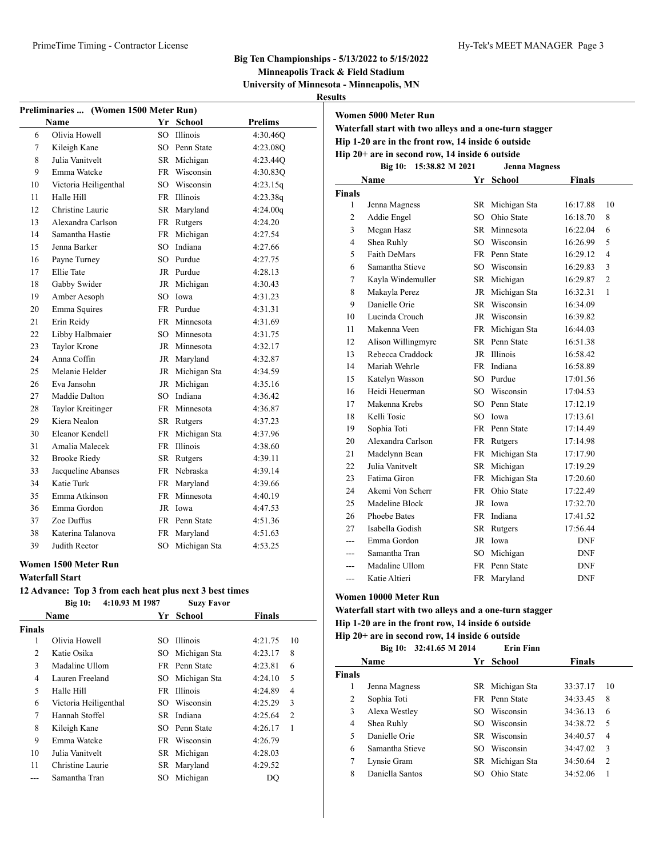**Minneapolis Track & Field Stadium**

**University of Minnesota - Minneapolis, MN**

**Results**

|    | Preliminaries  (Women 1500 Meter Run) |           |                 |                |  |  |
|----|---------------------------------------|-----------|-----------------|----------------|--|--|
|    | <b>Name</b>                           | Yr        | School          | <b>Prelims</b> |  |  |
| 6  | Olivia Howell                         | SO.       | <b>Illinois</b> | 4:30.46O       |  |  |
| 7  | Kileigh Kane                          | SO.       | Penn State      | 4:23.08Q       |  |  |
| 8  | Julia Vanitvelt                       |           | SR Michigan     | 4:23.44Q       |  |  |
| 9  | Emma Watcke                           |           | FR Wisconsin    | 4:30.83Q       |  |  |
| 10 | Victoria Heiligenthal                 |           | SO Wisconsin    | 4:23.15q       |  |  |
| 11 | Halle Hill                            | FR -      | <b>Illinois</b> | 4:23.38q       |  |  |
| 12 | Christine Laurie                      | SR        | Maryland        | 4:24.00q       |  |  |
| 13 | Alexandra Carlson                     | FR        | Rutgers         | 4:24.20        |  |  |
| 14 | Samantha Hastie                       | FR        | Michigan        | 4:27.54        |  |  |
| 15 | Jenna Barker                          | SO.       | Indiana         | 4:27.66        |  |  |
| 16 | Payne Turney                          | SO.       | Purdue          | 4:27.75        |  |  |
| 17 | Ellie Tate                            | JR        | Purdue          | 4:28.13        |  |  |
| 18 | Gabby Swider                          | JR        | Michigan        | 4:30.43        |  |  |
| 19 | Amber Aesoph                          | SO        | Iowa            | 4:31.23        |  |  |
| 20 | Emma Squires                          | FR -      | Purdue          | 4:31.31        |  |  |
| 21 | Erin Reidy                            | <b>FR</b> | Minnesota       | 4:31.69        |  |  |
| 22 | Libby Halbmaier                       | SO.       | Minnesota       | 4:31.75        |  |  |
| 23 | Taylor Krone                          |           | JR Minnesota    | 4:32.17        |  |  |
| 24 | Anna Coffin                           |           | JR Maryland     | 4:32.87        |  |  |
| 25 | Melanie Helder                        | JR        | Michigan Sta    | 4:34.59        |  |  |
| 26 | Eva Jansohn                           | JR        | Michigan        | 4:35.16        |  |  |
| 27 | Maddie Dalton                         | SO.       | Indiana         | 4:36.42        |  |  |
| 28 | Taylor Kreitinger                     | FR        | Minnesota       | 4:36.87        |  |  |
| 29 | Kiera Nealon                          | SR.       | Rutgers         | 4:37.23        |  |  |
| 30 | Eleanor Kendell                       | FR        | Michigan Sta    | 4:37.96        |  |  |
| 31 | Amalia Malecek                        | <b>FR</b> | <b>Illinois</b> | 4:38.60        |  |  |
| 32 | <b>Brooke Riedy</b>                   | SR        | Rutgers         | 4:39.11        |  |  |
| 33 | Jacqueline Abanses                    | FR        | Nebraska        | 4:39.14        |  |  |
| 34 | Katie Turk                            | FR        | Maryland        | 4:39.66        |  |  |
| 35 | Emma Atkinson                         | <b>FR</b> | Minnesota       | 4:40.19        |  |  |
| 36 | Emma Gordon                           | JR        | Iowa            | 4:47.53        |  |  |
| 37 | Zoe Duffus                            |           | FR Penn State   | 4:51.36        |  |  |
| 38 | Katerina Talanova                     | FR        | Maryland        | 4:51.63        |  |  |
| 39 | Judith Rector                         | SO.       | Michigan Sta    | 4:53.25        |  |  |

#### **Women 1500 Meter Run**

#### **Waterfall Start**

#### **12 Advance: Top 3 from each heat plus next 3 best times Big 10: 4:10.93 M 1987 Suzy Favor**

|               | <b>Name</b>           | Yr  | <b>School</b>   | <b>Finals</b> |    |
|---------------|-----------------------|-----|-----------------|---------------|----|
| <b>Finals</b> |                       |     |                 |               |    |
| 1             | Olivia Howell         | SO. | <b>Illinois</b> | 4:21.75       | 10 |
| 2             | Katie Osika           | SO. | Michigan Sta    | 4:23.17       | 8  |
| 3             | Madaline Ullom        | FR. | Penn State      | 4:23.81       | 6  |
| 4             | Lauren Freeland       | SO. | Michigan Sta    | 4:24.10       | 5  |
| 5             | Halle Hill            | FR. | <b>Illinois</b> | 4:24.89       | 4  |
| 6             | Victoria Heiligenthal | SO. | Wisconsin       | 4:25.29       | 3  |
| 7             | Hannah Stoffel        | SR  | Indiana         | 4:25.64       | 2  |
| 8             | Kileigh Kane          | SO. | Penn State      | 4:26.17       | 1  |
| 9             | Emma Watcke           |     | FR Wisconsin    | 4:26.79       |    |
| 10            | Julia Vanitvelt       |     | SR Michigan     | 4:28.03       |    |
| 11            | Christine Laurie      | SR  | Maryland        | 4:29.52       |    |
|               | Samantha Tran         | SО  | Michigan        | DO            |    |
|               |                       |     |                 |               |    |

| Women 5000 Meter Run                                   |                      |
|--------------------------------------------------------|----------------------|
| Waterfall start with two alleys and a one-turn stagger |                      |
| Hip 1-20 are in the front row, 14 inside 6 outside     |                      |
| Hip $20+$ are in second row, 14 inside 6 outside       |                      |
| Big 10: 15:38.82 M 2021                                | <b>Jenna Magness</b> |

| Dig 10. 10.00.02 M 2021 |                     |           | оснна віадисья  |               |                |
|-------------------------|---------------------|-----------|-----------------|---------------|----------------|
|                         | Name                |           | Yr School       | <b>Finals</b> |                |
| <b>Finals</b>           |                     |           |                 |               |                |
| 1                       | Jenna Magness       | <b>SR</b> | Michigan Sta    | 16:17.88      | 10             |
| $\overline{c}$          | Addie Engel         |           | SO Ohio State   | 16:18.70      | 8              |
| 3                       | Megan Hasz          | SR        | Minnesota       | 16:22.04      | 6              |
| $\overline{4}$          | Shea Ruhly          | SO.       | Wisconsin       | 16:26.99      | 5              |
| 5                       | <b>Faith DeMars</b> |           | FR Penn State   | 16:29.12      | $\overline{4}$ |
| 6                       | Samantha Stieve     |           | SO Wisconsin    | 16:29.83      | 3              |
| 7                       | Kayla Windemuller   |           | SR Michigan     | 16:29.87      | $\overline{2}$ |
| 8                       | Makayla Perez       | <b>JR</b> | Michigan Sta    | 16:32.31      | 1              |
| 9                       | Danielle Orie       | SR.       | Wisconsin       | 16:34.09      |                |
| 10                      | Lucinda Crouch      |           | JR Wisconsin    | 16:39.82      |                |
| 11                      | Makenna Veen        |           | FR Michigan Sta | 16:44.03      |                |
| 12                      | Alison Willingmyre  |           | SR Penn State   | 16:51.38      |                |
| 13                      | Rebecca Craddock    |           | JR Illinois     | 16:58.42      |                |
| 14                      | Mariah Wehrle       |           | FR Indiana      | 16:58.89      |                |
| 15                      | Katelyn Wasson      |           | SO Purdue       | 17:01.56      |                |
| 16                      | Heidi Heuerman      |           | SO Wisconsin    | 17:04.53      |                |
| 17                      | Makenna Krebs       | SO.       | Penn State      | 17:12.19      |                |
| 18                      | Kelli Tosic         | SO.       | Iowa            | 17:13.61      |                |
| 19                      | Sophia Toti         |           | FR Penn State   | 17:14.49      |                |
| 20                      | Alexandra Carlson   |           | FR Rutgers      | 17:14.98      |                |
| 21                      | Madelynn Bean       | FR        | Michigan Sta    | 17:17.90      |                |
| 22                      | Julia Vanitvelt     | SR        | Michigan        | 17:19.29      |                |
| 23                      | Fatima Giron        |           | FR Michigan Sta | 17:20.60      |                |
| 24                      | Akemi Von Scherr    |           | FR Ohio State   | 17:22.49      |                |
| 25                      | Madeline Block      | JR        | Iowa            | 17:32.70      |                |
| 26                      | Phoebe Bates        |           | FR Indiana      | 17:41.52      |                |
| 27                      | Isabella Godish     | SR        | Rutgers         | 17:56.44      |                |
|                         | Emma Gordon         |           | JR Iowa         | DNF           |                |
|                         | Samantha Tran       | SO        | Michigan        | <b>DNF</b>    |                |
|                         | Madaline Ullom      |           | FR Penn State   | <b>DNF</b>    |                |
| ---                     | Katie Altieri       |           | FR Maryland     | <b>DNF</b>    |                |
|                         |                     |           |                 |               |                |

## **Women 10000 Meter Run**

## **Waterfall start with two alleys and a one-turn stagger Hip 1-20 are in the front row, 14 inside 6 outside Hip 20+ are in second row, 14 inside 6 outside**

**Big 10: 32:41.65 M 2014 Erin Finn**

|               | Name            |      | Yr School       | <b>Finals</b> |                |
|---------------|-----------------|------|-----------------|---------------|----------------|
| <b>Finals</b> |                 |      |                 |               |                |
|               | Jenna Magness   |      | SR Michigan Sta | 33:37.17      | 10             |
| 2             | Sophia Toti     |      | FR Penn State   | 34:33.45      | 8              |
| 3             | Alexa Westley   | SO.  | Wisconsin       | 34:36.13      | 6              |
| 4             | Shea Ruhly      | SO - | Wisconsin       | 34:38.72      | -5             |
| 5             | Danielle Orie   |      | SR Wisconsin    | 34:40.57      | 4              |
| 6             | Samantha Stieve | SO.  | Wisconsin       | 34:47.02      | 3              |
| 7             | Lynsie Gram     |      | SR Michigan Sta | 34:50.64      | $\overline{c}$ |
| 8             | Daniella Santos | SO.  | Ohio State      | 34:52.06      |                |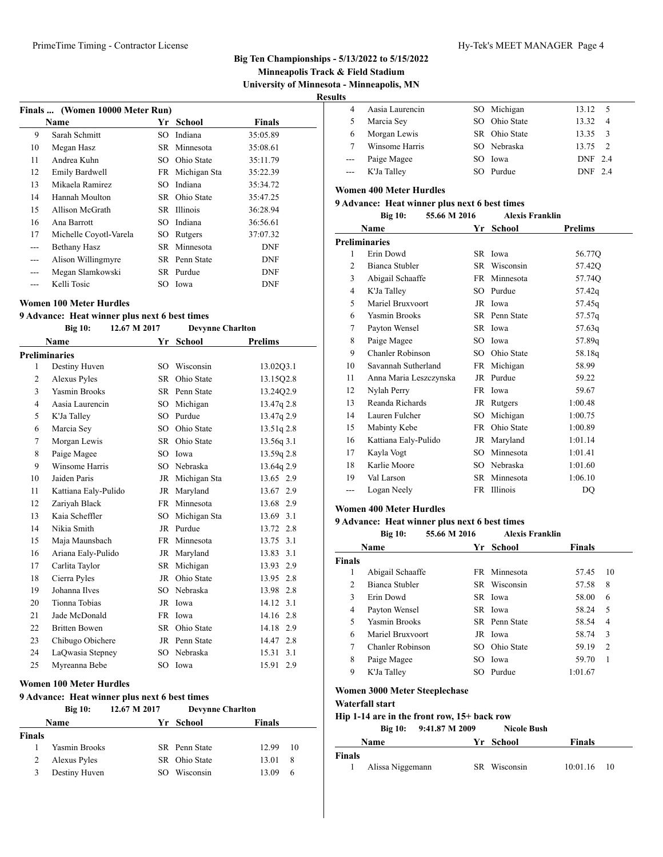**Minneapolis Track & Field Stadium**

**University of Minnesota - Minneapolis, MN**

**Results**

| Finals  (Women 10000 Meter Run) |                        |     |                 |            |  |
|---------------------------------|------------------------|-----|-----------------|------------|--|
|                                 | Name                   | Yr  | School          | Finals     |  |
| 9                               | Sarah Schmitt          | SO. | Indiana         | 35:05.89   |  |
| 10                              | Megan Hasz             | SR. | Minnesota       | 35:08.61   |  |
| 11                              | Andrea Kuhn            |     | SO Ohio State   | 35:11.79   |  |
| 12                              | Emily Bardwell         | FR  | Michigan Sta    | 35:22.39   |  |
| 13                              | Mikaela Ramirez        | SO. | Indiana         | 35:34.72   |  |
| 14                              | Hannah Moulton         |     | SR Ohio State   | 35:47.25   |  |
| 15                              | Allison McGrath        | SR. | <i>Illinois</i> | 36:28.94   |  |
| 16                              | Ana Barrott            | SO  | Indiana         | 36:56.61   |  |
| 17                              | Michelle Coyotl-Varela | SO. | Rutgers         | 37:07.32   |  |
| ---                             | <b>Bethany Hasz</b>    | SR. | Minnesota       | <b>DNF</b> |  |
| ---                             | Alison Willingmyre     |     | SR Penn State   | <b>DNF</b> |  |
| ---                             | Megan Slamkowski       |     | SR Purdue       | <b>DNF</b> |  |
|                                 | Kelli Tosic            |     | SO Iowa         | <b>DNF</b> |  |

#### **Women 100 Meter Hurdles**

# **9 Advance: Heat winner plus next 6 best times**

|                | <b>Big 10:</b>       | 12.67 M 2017 | <b>Devynne Charlton</b> |              |
|----------------|----------------------|--------------|-------------------------|--------------|
|                | <b>Name</b>          | Yr           | School                  | Prelims      |
|                | <b>Preliminaries</b> |              |                         |              |
| 1              | Destiny Huven        | SO.          | Wisconsin               | 13.02Q3.1    |
| $\overline{2}$ | Alexus Pyles         | SR.          | Ohio State              | 13.15Q2.8    |
| 3              | <b>Yasmin Brooks</b> |              | SR Penn State           | 13.24Q2.9    |
| $\overline{4}$ | Aasia Laurencin      | SO.          | Michigan                | 13.47q 2.8   |
| 5              | K'Ja Talley          | SO.          | Purdue                  | 13.47q 2.9   |
| 6              | Marcia Sey           | SO.          | Ohio State              | 13.51q 2.8   |
| 7              | Morgan Lewis         |              | SR Ohio State           | 13.56q 3.1   |
| 8              | Paige Magee          | SO.          | Iowa                    | 13.59q 2.8   |
| 9              | Winsome Harris       |              | SO Nebraska             | 13.64q 2.9   |
| 10             | Jaiden Paris         |              | JR Michigan Sta         | 13.65 2.9    |
| 11             | Kattiana Ealy-Pulido | JR           | Maryland                | 13.67 2.9    |
| 12             | Zariyah Black        | <b>FR</b>    | Minnesota               | 13.68 2.9    |
| 13             | Kaia Scheffler       | SO           | Michigan Sta            | 13.69 3.1    |
| 14             | Nikia Smith          | JR           | Purdue                  | 13.72 2.8    |
| 15             | Maja Maunsbach       |              | FR Minnesota            | 13.75 3.1    |
| 16             | Ariana Ealy-Pulido   |              | JR Maryland             | 13.83 3.1    |
| 17             | Carlita Taylor       | SR           | Michigan                | 13.93 2.9    |
| 18             | Cierra Pyles         | JR           | Ohio State              | 13.95 2.8    |
| 19             | Johanna Ilves        | SO.          | Nebraska                | 13.98 2.8    |
| 20             | Tionna Tobias        |              | JR Iowa                 | 14.12 3.1    |
| 21             | Jade McDonald        |              | FR Iowa                 | 14.16 2.8    |
| 22             | <b>Britten Bowen</b> |              | SR Ohio State           | 14.18 2.9    |
| 23             | Chibugo Obichere     |              | JR Penn State           | 14.47 2.8    |
| 24             | LaQwasia Stepney     | SO           | Nebraska                | 15.31<br>3.1 |
| 25             | Mvreanna Bebe        | SO.          | Iowa                    | 2.9<br>15.91 |

#### **Women 100 Meter Hurdles**

## **9 Advance: Heat winner plus next 6 best times**

|               | <b>Big 10:</b> | 12.67 M 2017 | <b>Devynne Charlton</b> |               |    |
|---------------|----------------|--------------|-------------------------|---------------|----|
|               | Name           |              | Yr School               | <b>Finals</b> |    |
| <b>Finals</b> |                |              |                         |               |    |
|               | Yasmin Brooks  |              | SR Penn State           | 12.99         | 10 |
|               | Alexus Pyles   |              | SR Ohio State           | 13.01         | 8  |
| 3             | Destiny Huven  | SO.          | Wisconsin               | 13.09         | 6  |

|     | Aasia Laurencin | SO Michigan   | 13.12 5         |  |
|-----|-----------------|---------------|-----------------|--|
|     | Marcia Sey      | SO Ohio State | 13.32 4         |  |
| 6   | Morgan Lewis    | SR Ohio State | $13.35 \quad 3$ |  |
|     | Winsome Harris  | SO Nebraska   | $13.75 \quad 2$ |  |
| --- | Paige Magee     | SO Iowa       | $DNF$ 2.4       |  |
|     | K'Ja Talley     | SO Purdue     | $DNF$ 2.4       |  |
|     |                 |               |                 |  |

## **Women 400 Meter Hurdles**

#### **9 Advance: Heat winner plus next 6 best times**

|    | 55.66 M 2016<br><b>Big 10:</b> |        | <b>Alexis Franklin</b> |                |
|----|--------------------------------|--------|------------------------|----------------|
|    | Name                           |        | Yr School              | <b>Prelims</b> |
|    | <b>Preliminaries</b>           |        |                        |                |
| 1  | Erin Dowd                      |        | SR Iowa                | 56.77Q         |
| 2  | <b>Bianca Stubler</b>          | SR     | Wisconsin              | 57.42Q         |
| 3  | Abigail Schaaffe               | FR     | Minnesota              | 57.74Q         |
| 4  | K'Ja Talley                    |        | SO Purdue              | 57.42q         |
| 5  | Mariel Bruxvoort               |        | JR Iowa                | 57.45q         |
| 6  | Yasmin Brooks                  |        | SR Penn State          | 57.57q         |
| 7  | Payton Wensel                  |        | SR Iowa                | 57.63q         |
| 8  | Paige Magee                    |        | SO Iowa                | 57.89q         |
| 9  | Chanler Robinson               | $SO^-$ | Ohio State             | 58.18q         |
| 10 | Savannah Sutherland            | FR     | Michigan               | 58.99          |
| 11 | Anna Maria Leszczynska         |        | JR Purdue              | 59.22          |
| 12 | Nylah Perry                    |        | FR Iowa                | 59.67          |
| 13 | Reanda Richards                |        | JR Rutgers             | 1:00.48        |
| 14 | Lauren Fulcher                 | SO.    | Michigan               | 1:00.75        |
| 15 | Mabinty Kebe                   | FR     | Ohio State             | 1:00.89        |
| 16 | Kattiana Ealy-Pulido           | JR     | Maryland               | 1:01.14        |
| 17 | Kayla Vogt                     | SO.    | Minnesota              | 1:01.41        |
| 18 | Karlie Moore                   | SO.    | Nebraska               | 1:01.60        |
| 19 | Val Larson                     | SR     | Minnesota              | 1:06.10        |
|    | Logan Neely                    | FR     | Illinois               | DQ             |

#### **Women 400 Meter Hurdles**

#### **9 Advance: Heat winner plus next 6 best times**

#### **Big 10: 55.66 M 2016 Alexis Franklin**

|               | <b>Name</b>      | Yr School     | Finals  |                |
|---------------|------------------|---------------|---------|----------------|
| <b>Finals</b> |                  |               |         |                |
| 1             | Abigail Schaaffe | FR Minnesota  | 57.45   | 10             |
| 2             | Bianca Stubler   | SR Wisconsin  | 57.58   | 8              |
| 3             | Erin Dowd        | SR Iowa       | 58.00   | 6              |
| 4             | Payton Wensel    | SR Iowa       | 58.24   | 5              |
| 5             | Yasmin Brooks    | SR Penn State | 58.54   | $\overline{4}$ |
| 6             | Mariel Bruxvoort | JR Iowa       | 58.74   | 3              |
| 7             | Chanler Robinson | SO Ohio State | 59.19   | 2              |
| 8             | Paige Magee      | SO Iowa       | 59.70   | 1              |
| 9             | K'Ja Talley      | SO Purdue     | 1:01.67 |                |

## **Women 3000 Meter Steeplechase**

#### **Waterfall start**

#### **Hip 1-14 are in the front row, 15+ back row**

#### **Big 10: 9:41.87 M 2009 Nicole Bush**

|        | Name             | Yr School    | <b>Finals</b> |     |
|--------|------------------|--------------|---------------|-----|
| Finals |                  |              |               |     |
|        | Alissa Niggemann | SR Wisconsin | 10:01.16      | -10 |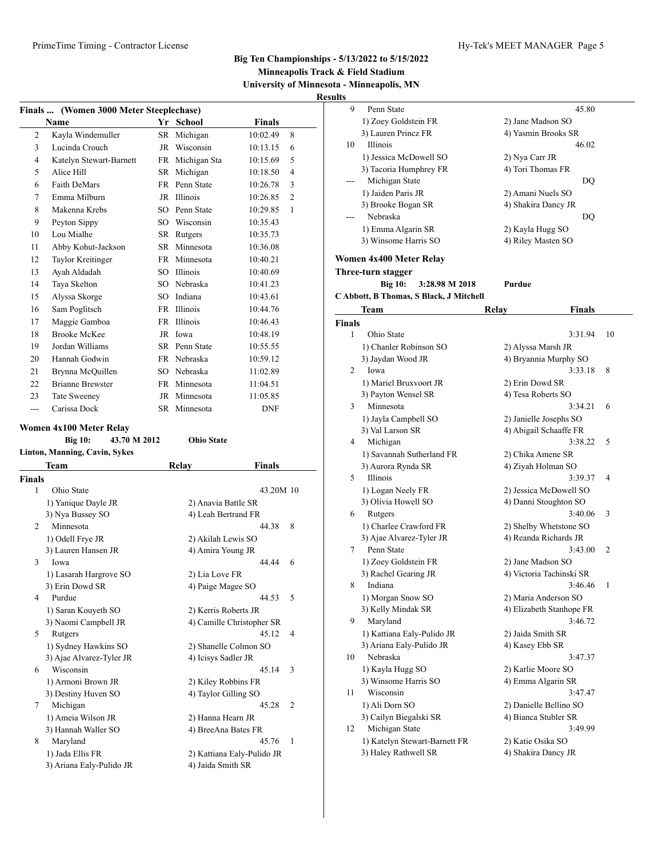**Minneapolis Track & Field Stadium**

**University of Minnesota - Minneapolis, MN**

|        | Finals  (Women 3000 Meter Steeplechase) |                       |                            |                |
|--------|-----------------------------------------|-----------------------|----------------------------|----------------|
|        | Name                                    | Yr School             | <b>Finals</b>              |                |
| 2      | Kayla Windemuller                       | SR Michigan           | 10:02.49                   | 8              |
| 3      | Lucinda Crouch                          | JR Wisconsin          | 10:13.15                   | 6              |
| 4      | Katelyn Stewart-Barnett                 | FR Michigan Sta       | 10:15.69                   | 5              |
| 5      | Alice Hill                              | SR Michigan           | 10:18.50                   | 4              |
| 6      | <b>Faith DeMars</b>                     | FR Penn State         | 10:26.78                   | 3              |
| 7      | Emma Milburn                            | JR Illinois           | 10:26.85                   | $\overline{c}$ |
| 8      | Makenna Krebs                           | SO Penn State         | 10:29.85                   | 1              |
| 9      | Peyton Sippy                            | SO Wisconsin          | 10:35.43                   |                |
| 10     | Lou Mialhe                              | SR Rutgers            | 10:35.73                   |                |
| 11     | Abby Kohut-Jackson                      | SR Minnesota          | 10:36.08                   |                |
| 12     | Taylor Kreitinger                       | FR Minnesota          | 10:40.21                   |                |
| 13     | Ayah Aldadah                            | SO Illinois           | 10:40.69                   |                |
| 14     | Taya Skelton                            | SO Nebraska           | 10:41.23                   |                |
| 15     | Alyssa Skorge                           | SO Indiana            | 10:43.61                   |                |
| 16     | Sam Poglitsch                           | FR Illinois           | 10:44.76                   |                |
| 17     | Maggie Gamboa                           | FR Illinois           | 10:46.43                   |                |
| 18     | <b>Brooke McKee</b>                     | JR Iowa               | 10:48.19                   |                |
| 19     | Jordan Williams                         | SR Penn State         | 10:55.55                   |                |
| 20     | Hannah Godwin                           | FR Nebraska           | 10:59.12                   |                |
| 21     | Brynna McQuillen                        | SO Nebraska           | 11:02.89                   |                |
| 22     | <b>Brianne Brewster</b>                 | FR Minnesota          | 11:04.51                   |                |
| 23     | <b>Tate Sweenev</b>                     | JR Minnesota          |                            |                |
|        | Carissa Dock                            |                       | 11:05.85                   |                |
| ---    |                                         | SR Minnesota          | <b>DNF</b>                 |                |
|        | Linton, Manning, Cavin, Sykes<br>Team   | Relay                 | Finals                     |                |
| Finals |                                         |                       |                            |                |
| 1      | Ohio State                              |                       | 43.20M 10                  |                |
|        | 1) Yanique Dayle JR                     | 2) Anavia Battle SR   |                            |                |
|        | 3) Nya Bussey SO                        | 4) Leah Bertrand FR   |                            |                |
| 2      | Minnesota                               |                       | 44.38                      | 8              |
|        | 1) Odell Frye JR                        | 2) Akilah Lewis SO    |                            |                |
|        | 3) Lauren Hansen JR                     | 4) Amira Young JR     |                            |                |
| 3      | Iowa                                    |                       | 44.44                      | 6              |
|        | 1) Lasarah Hargrove SO                  | 2) Lia Love FR        |                            |                |
|        | 3) Erin Dowd SR                         | 4) Paige Magee SO     |                            |                |
| 4      | Purdue                                  |                       | 44.53                      | 5              |
|        | 1) Saran Kouyeth SO                     | 2) Kerris Roberts JR  |                            |                |
|        | 3) Naomi Campbell JR                    |                       | 4) Camille Christopher SR  |                |
| 5      | Rutgers                                 |                       | 45.12                      | 4              |
|        | 1) Sydney Hawkins SO                    | 2) Shanelle Colmon SO |                            |                |
|        | 3) Ajae Alvarez-Tyler JR                | 4) Icisys Sadler JR   |                            |                |
| 6      | Wisconsin                               |                       | 45.14                      | 3              |
|        | 1) Armoni Brown JR                      | 2) Kiley Robbins FR   |                            |                |
|        | 3) Destiny Huven SO                     | 4) Taylor Gilling SO  |                            |                |
| 7      | Michigan                                |                       | 45.28                      | 2              |
|        | 1) Ameia Wilson JR                      | 2) Hanna Hearn JR     |                            |                |
|        | 3) Hannah Waller SO                     | 4) BreeAna Bates FR   |                            |                |
| 8      | Maryland                                |                       | 45.76                      | 1              |
|        | 1) Jada Ellis FR                        |                       | 2) Kattiana Ealy-Pulido JR |                |
|        | 3) Ariana Ealy-Pulido JR                | 4) Jaida Smith SR     |                            |                |
|        |                                         |                       |                            |                |

| นเเร          |                                             |                          |    |
|---------------|---------------------------------------------|--------------------------|----|
| 9             | Penn State                                  | 45.80                    |    |
|               | 1) Zoey Goldstein FR                        | 2) Jane Madson SO        |    |
|               | 3) Lauren Princz FR                         | 4) Yasmin Brooks SR      |    |
| 10            | Illinois                                    | 46.02                    |    |
|               | 1) Jessica McDowell SO                      | 2) Nya Carr JR           |    |
|               | 3) Tacoria Humphrey FR                      | 4) Tori Thomas FR        |    |
|               | Michigan State                              | DQ                       |    |
|               | 1) Jaiden Paris JR                          | 2) Amani Nuels SO        |    |
|               | 3) Brooke Bogan SR                          | 4) Shakira Dancy JR      |    |
|               | Nebraska                                    | DQ                       |    |
|               | 1) Emma Algarin SR                          | 2) Kayla Hugg SO         |    |
|               | 3) Winsome Harris SO                        | 4) Riley Masten SO       |    |
|               | Women 4x400 Meter Relay                     |                          |    |
|               | Three-turn stagger                          |                          |    |
|               | <b>Big 10:</b><br>3:28.98 M 2018            | Purdue                   |    |
|               | C Abbott, B Thomas, S Black, J Mitchell     |                          |    |
|               | Team                                        | <b>Finals</b>            |    |
| <b>Finals</b> |                                             | Relay                    |    |
| 1             | Ohio State                                  | 3:31.94                  | 10 |
|               |                                             | 2) Alyssa Marsh JR       |    |
|               | 1) Chanler Robinson SO<br>3) Jaydan Wood JR | 4) Bryannia Murphy SO    |    |
| 2             | Iowa                                        | 3:33.18                  | 8  |
|               | 1) Mariel Bruxvoort JR                      | 2) Erin Dowd SR          |    |
|               | 3) Payton Wensel SR                         | 4) Tesa Roberts SO       |    |
| 3             | Minnesota                                   | 3:34.21                  | 6  |
|               | 1) Jayla Campbell SO                        | 2) Janielle Josephs SO   |    |
|               | 3) Val Larson SR                            | 4) Abigail Schaaffe FR   |    |
| 4             | Michigan                                    | 3:38.22                  | 5  |
|               | 1) Savannah Sutherland FR                   | 2) Chika Amene SR        |    |
|               | 3) Aurora Rynda SR                          | 4) Ziyah Holman SO       |    |
| 5             | Illinois                                    | 3:39.37                  | 4  |
|               | 1) Logan Neely FR                           | 2) Jessica McDowell SO   |    |
|               | 3) Olivia Howell SO                         | 4) Danni Stoughton SO    |    |
| 6             | Rutgers                                     | 3:40.06                  | 3  |
|               | 1) Charlee Crawford FR                      | 2) Shelby Whetstone SO   |    |
|               | 3) Ajae Alvarez-Tyler JR                    | 4) Reanda Richards JR    |    |
| 7             | Penn State                                  | 3:43.00                  | 2  |
|               | 1) Zoey Goldstein FR                        | 2) Jane Madson SO        |    |
|               | 3) Rachel Gearing JR                        | 4) Victoria Tachinski SR |    |
| 8             | Indiana                                     | 3:46.46                  | 1  |
|               | 1) Morgan Snow SO                           | 2) Maria Anderson SO     |    |
|               | 3) Kelly Mindak SR                          | 4) Elizabeth Stanhope FR |    |
| 9.            | Maryland                                    | 3:46.72                  |    |
|               | 1) Kattiana Ealy-Pulido JR                  | 2) Jaida Smith SR        |    |
|               | 3) Ariana Ealy-Pulido JR                    | 4) Kasey Ebb SR          |    |
| 10            | Nebraska                                    | 3:47.37                  |    |
|               | 1) Kayla Hugg SO                            | 2) Karlie Moore SO       |    |
|               | 3) Winsome Harris SO                        | 4) Emma Algarin SR       |    |
| 11            | Wisconsin                                   | 3:47.47                  |    |
|               | 1) Ali Dorn SO                              | 2) Danielle Bellino SO   |    |
|               | 3) Cailyn Biegalski SR                      | 4) Bianca Stubler SR     |    |
| 12            | Michigan State                              | 3:49.99                  |    |
|               | 1) Katelyn Stewart-Barnett FR               | 2) Katie Osika SO        |    |
|               | 3) Haley Rathwell SR                        | 4) Shakira Dancy JR      |    |
|               |                                             |                          |    |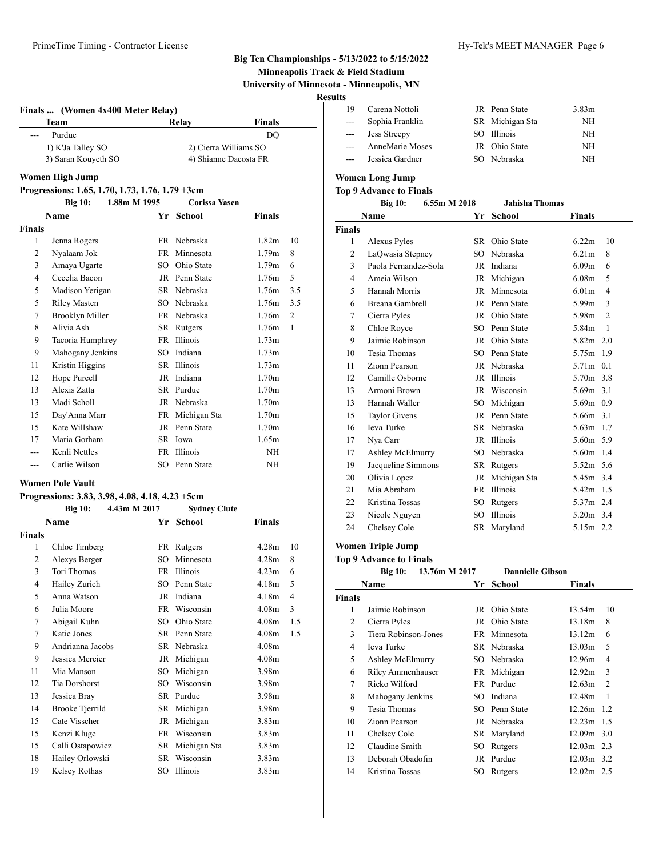**Finals ... (Women 4x400 Meter Relay)**

## **Big Ten Championships - 5/13/2022 to 5/15/2022**

## **Minneapolis Track & Field Stadium**

**University of Minnesota - Minneapolis, MN**

**Results**

| 19    | Carena Nottoli      | JR Penn State   | 3.83 <sub>m</sub> |
|-------|---------------------|-----------------|-------------------|
| $  -$ | Sophia Franklin     | SR Michigan Sta | NH                |
| $---$ | <b>Jess Streepy</b> | SO Illinois     | NH                |
| $-$   | AnneMarie Moses     | JR Ohio State   | NH                |
|       | Jessica Gardner     | SO Nebraska     | NH                |

## **Women High Jump**

## **Progressions: 1.65, 1.70, 1.73, 1.76, 1.79 +3cm**

|               | <b>Big 10:</b>      | 1.88m M 1995 | Corissa Yasen   |                   |                |
|---------------|---------------------|--------------|-----------------|-------------------|----------------|
|               | Name                | Yr           | School          | Finals            |                |
| <b>Finals</b> |                     |              |                 |                   |                |
| 1             | Jenna Rogers        |              | FR Nebraska     | 1.82 <sub>m</sub> | 10             |
| 2             | Nyalaam Jok         | FR           | Minnesota       | 1.79m             | 8              |
| 3             | Amaya Ugarte        | SO           | Ohio State      | 1.79 <sub>m</sub> | 6              |
| 4             | Cecelia Bacon       | JR           | Penn State      | 1.76m             | 5              |
| 5             | Madison Yerigan     | SR           | Nebraska        | 1.76m             | 3.5            |
| 5             | <b>Riley Masten</b> | SO           | Nebraska        | 1.76m             | 3.5            |
| 7             | Brooklyn Miller     | FR           | Nebraska        | 1.76m             | $\overline{c}$ |
| 8             | Alivia Ash          | SR           | Rutgers         | 1.76m             | 1              |
| 9             | Tacoria Humphrey    | FR           | <b>Illinois</b> | 1.73m             |                |
| 9             | Mahogany Jenkins    | SO           | Indiana         | 1.73m             |                |
| 11            | Kristin Higgins     | SR.          | <b>Illinois</b> | 1.73 <sub>m</sub> |                |
| 12            | Hope Purcell        | JR           | Indiana         | 1.70 <sub>m</sub> |                |
| 13            | Alexis Zatta        |              | SR Purdue       | 1.70 <sub>m</sub> |                |
| 13            | Madi Scholl         | JR           | Nebraska        | 1.70 <sub>m</sub> |                |
| 15            | Day'Anna Marr       | FR           | Michigan Sta    | 1.70 <sub>m</sub> |                |
| 15            | Kate Willshaw       |              | JR Penn State   | 1.70 <sub>m</sub> |                |
| 17            | Maria Gorham        | SR           | Iowa            | 1.65m             |                |
|               | Kenli Nettles       | FR.          | <b>Illinois</b> | NΗ                |                |
|               | Carlie Wilson       | SΟ           | Penn State      | NΗ                |                |
|               |                     |              |                 |                   |                |

**Team Relay Finals** --- Purdue DQ 1) K'Ja Talley SO 2) Cierra Williams SO 3) Saran Kouyeth SO 4) Shianne Dacosta FR

## **Women Pole Vault**

#### **Progressions: 3.83, 3.98, 4.08, 4.18, 4.23 +5cm Big 10: 4.43m M 2017 Sydney Clute**

| DIE 10:              |     |                                                         |                                       |     |
|----------------------|-----|---------------------------------------------------------|---------------------------------------|-----|
| Name                 |     | School                                                  | Finals                                |     |
| Finals               |     |                                                         |                                       |     |
| Chloe Timberg        | FR. | Rutgers                                                 | 4.28 <sub>m</sub>                     | 10  |
| Alexys Berger        | SO  | Minnesota                                               | 4.28 <sub>m</sub>                     | 8   |
| Tori Thomas          | FR. | Illinois                                                | 4.23m                                 | 6   |
| Hailey Zurich        | SO. | Penn State                                              | 4.18m                                 | 5   |
| Anna Watson          | JR  | Indiana                                                 | 4.18 <sub>m</sub>                     | 4   |
| Julia Moore          | FR. | Wisconsin                                               | 4.08m                                 | 3   |
| Abigail Kuhn         | SO  | Ohio State                                              | 4.08 <sub>m</sub>                     | 1.5 |
| Katie Jones          | SR. | Penn State                                              | 4.08 <sub>m</sub>                     | 1.5 |
|                      | SR  | Nebraska                                                | 4.08m                                 |     |
| Jessica Mercier      | JR  | Michigan                                                | 4.08 <sub>m</sub>                     |     |
| Mia Manson           | SO  | Michigan                                                | 3.98m                                 |     |
| <b>Tia Dorshorst</b> | SO. | Wisconsin                                               | 3.98m                                 |     |
| Jessica Bray         | SR  | Purdue                                                  | 3.98m                                 |     |
| Brooke Tjerrild      | SR  | Michigan                                                | 3.98m                                 |     |
| Cate Visscher        | JR  | Michigan                                                | 3.83 <sub>m</sub>                     |     |
| Kenzi Kluge          | FR. | Wisconsin                                               | 3.83 <sub>m</sub>                     |     |
|                      | SR  | Michigan Sta                                            | 3.83 <sub>m</sub>                     |     |
|                      | SR  | Wisconsin                                               | 3.83 <sub>m</sub>                     |     |
| Kelsey Rothas        | SO  | Illinois                                                | 3.83 <sub>m</sub>                     |     |
|                      |     | Andrianna Jacobs<br>Calli Ostapowicz<br>Hailey Orlowski | 4.43111 M ZUI /<br>Sydney Clute<br>Yr |     |

## **Women Long Jump**

## **Top 9 Advance to Finals**

|                | 6.55m M 2018<br><b>Big 10:</b> |     | <b>Jahisha Thomas</b> |                   |                |
|----------------|--------------------------------|-----|-----------------------|-------------------|----------------|
|                | Name                           | Yr  | <b>School</b>         | Finals            |                |
| <b>Finals</b>  |                                |     |                       |                   |                |
| 1              | Alexus Pyles                   |     | SR Ohio State         | 6.22m             | 10             |
| $\overline{2}$ | LaQwasia Stepney               | SO. | Nebraska              | 6.21 <sub>m</sub> | 8              |
| 3              | Paola Fernandez-Sola           | JR  | Indiana               | 6.09 <sub>m</sub> | 6              |
| $\overline{4}$ | Ameia Wilson                   | JR  | Michigan              | 6.08 <sub>m</sub> | 5              |
| 5              | Hannah Morris                  | JR  | Minnesota             | 6.01 <sub>m</sub> | $\overline{4}$ |
| 6              | Breana Gambrell                |     | JR Penn State         | 5.99m             | 3              |
| 7              | Cierra Pyles                   | JR  | Ohio State            | 5.98m             | $\overline{2}$ |
| 8              | Chloe Royce                    | SO. | Penn State            | 5.84m             | $\mathbf{1}$   |
| 9              | Jaimie Robinson                |     | JR Ohio State         | $5.82m$ 2.0       |                |
| 10             | <b>Tesia Thomas</b>            | SO. | Penn State            | 5.75m             | -1.9           |
| 11             | Zionn Pearson                  |     | JR Nebraska           | 5.71m 0.1         |                |
| 12             | Camille Osborne                | JR  | Illinois              | 5.70m 3.8         |                |
| 13             | Armoni Brown                   |     | JR Wisconsin          | $5.69m$ 3.1       |                |
| 13             | Hannah Waller                  | SO  | Michigan              | 5.69m 0.9         |                |
| 15             | <b>Taylor Givens</b>           |     | JR Penn State         | 5.66m 3.1         |                |
| 16             | <b>Ieva</b> Turke              |     | SR Nebraska           | $5.63m$ 1.7       |                |
| 17             | Nya Carr                       | JR  | Illinois              | 5.60m 5.9         |                |
| 17             | Ashley McElmurry               | SO. | Nebraska              | 5.60m 1.4         |                |
| 19             | Jacqueline Simmons             |     | SR Rutgers            | 5.52m 5.6         |                |
| 20             | Olivia Lopez                   | JR  | Michigan Sta          | 5.45m 3.4         |                |
| 21             | Mia Abraham                    | FR  | <b>Illinois</b>       | 5.42m 1.5         |                |
| 22             | Kristina Tossas                | SO  | Rutgers               | 5.37m 2.4         |                |
| 23             | Nicole Nguyen                  | SO  | Illinois              | 5.20m 3.4         |                |
| 24             | Chelsey Cole                   |     | SR Maryland           | 5.15m 2.2         |                |

#### **Women Triple Jump**

#### **Top 9 Advance to Finals**

|               | <b>Big 10:</b>       | 13.76m M 2017 | <b>Dannielle Gibson</b> |               |                |
|---------------|----------------------|---------------|-------------------------|---------------|----------------|
|               | Name                 |               | Yr School               | <b>Finals</b> |                |
| <b>Finals</b> |                      |               |                         |               |                |
| 1             | Jaimie Robinson      |               | <b>IR</b> Ohio State    | 13.54m        | 10             |
| 2             | Cierra Pyles         | JR            | Ohio State              | 13.18m        | 8              |
| 3             | Tiera Robinson-Jones |               | FR Minnesota            | 13.12m        | 6              |
| 4             | Ieva Turke           |               | SR Nebraska             | 13.03m        | 5              |
| 5             | Ashley McElmurry     |               | SO Nebraska             | 12.96m        | 4              |
| 6             | Riley Ammenhauser    |               | FR Michigan             | 12.92m        | 3              |
| 7             | Rieko Wilford        |               | FR Purdue               | 12.63m        | $\mathfrak{D}$ |
| 8             | Mahogany Jenkins     |               | SO Indiana              | 12.48m        | 1              |
| 9             | Tesia Thomas         |               | SO Penn State           | $12.26m$ 1.2  |                |
| 10            | Zionn Pearson        |               | JR Nebraska             | $12.23m$ 1.5  |                |
| 11            | Chelsey Cole         |               | SR Maryland             | $12.09m$ 3.0  |                |
| 12            | Claudine Smith       | SO.           | Rutgers                 | $12.03m$ 2.3  |                |
| 13            | Deborah Obadofin     |               | JR Purdue               | $12.03m$ 3.2  |                |
| 14            | Kristina Tossas      |               | SO Rutgers              | 12.02m 2.5    |                |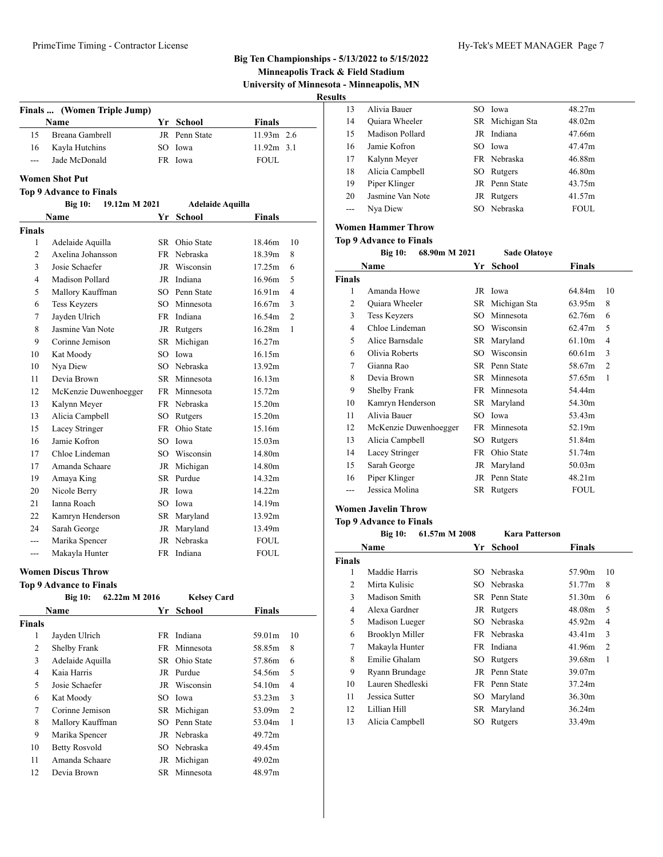**Minneapolis Track & Field Stadium University of Minnesota - Minneapolis, MN**

**Results**

|     | Finals  (Women Triple Jump) |               |               |
|-----|-----------------------------|---------------|---------------|
|     | Name                        | Yr School     | <b>Finals</b> |
| 15. | Breana Gambrell             | JR Penn State | $11.93m$ 2.6  |
|     | 16 Kayla Hutchins           | SO Iowa       | $11.92m$ 3.1  |
|     | Jade McDonald               | FR Iowa       | <b>FOUL</b>   |

## **Women Shot Put**

#### **Top 9 Advance to Finals**

|                | <b>Big 10:</b><br>19.12m M 2021 |           | <b>Adelaide Aquilla</b> |             |                |
|----------------|---------------------------------|-----------|-------------------------|-------------|----------------|
|                | Name                            | Yr        | <b>School</b>           | Finals      |                |
| <b>Finals</b>  |                                 |           |                         |             |                |
| 1              | Adelaide Aquilla                | SR.       | Ohio State              | 18.46m      | 10             |
| $\overline{2}$ | Axelina Johansson               |           | FR Nebraska             | 18.39m      | 8              |
| 3              | Josie Schaefer                  | JR        | Wisconsin               | 17.25m      | 6              |
| $\overline{4}$ | Madison Pollard                 |           | JR Indiana              | 16.96m      | 5              |
| 5              | Mallory Kauffman                |           | SO Penn State           | 16.91m      | $\overline{4}$ |
| 6              | <b>Tess Keyzers</b>             | SO.       | Minnesota               | 16.67m      | 3              |
| 7              | Jayden Ulrich                   | <b>FR</b> | Indiana                 | 16.54m      | $\overline{2}$ |
| 8              | Jasmine Van Note                | JR        | Rutgers                 | 16.28m      | 1              |
| 9              | Corinne Jemison                 | SR        | Michigan                | 16.27m      |                |
| 10             | Kat Moody                       | SO.       | Iowa                    | 16.15m      |                |
| 10             | Nya Diew                        |           | SO Nebraska             | 13.92m      |                |
| 11             | Devia Brown                     | SR.       | Minnesota               | 16.13m      |                |
| 12             | McKenzie Duwenhoegger           | FR        | Minnesota               | 15.72m      |                |
| 13             | Kalynn Meyer                    | FR.       | Nebraska                | 15.20m      |                |
| 13             | Alicia Campbell                 | SO        | Rutgers                 | 15.20m      |                |
| 15             | Lacey Stringer                  | <b>FR</b> | Ohio State              | 15.16m      |                |
| 16             | Jamie Kofron                    | SO.       | Iowa                    | 15.03m      |                |
| 17             | Chloe Lindeman                  |           | SO Wisconsin            | 14.80m      |                |
| 17             | Amanda Schaare                  | JR        | Michigan                | 14.80m      |                |
| 19             | Amaya King                      | SR        | Purdue                  | 14.32m      |                |
| 20             | Nicole Berry                    |           | JR Iowa                 | 14.22m      |                |
| 21             | Ianna Roach                     | SO.       | Iowa                    | 14.19m      |                |
| 22             | Kamryn Henderson                |           | SR Maryland             | 13.92m      |                |
| 24             | Sarah George                    | JR        | Maryland                | 13.49m      |                |
| ---            | Marika Spencer                  |           | JR Nebraska             | <b>FOUL</b> |                |
| $---$          | Makayla Hunter                  |           | FR Indiana              | <b>FOUL</b> |                |

#### **Women Discus Throw**

## **Top 9 Advance to Finals**

|               | <b>Big 10:</b>       | 62.22m M 2016 | <b>Kelsey Card</b> |               |                |
|---------------|----------------------|---------------|--------------------|---------------|----------------|
|               | Name                 | Yr            | School             | <b>Finals</b> |                |
| <b>Finals</b> |                      |               |                    |               |                |
| 1             | Jayden Ulrich        | FR.           | Indiana            | 59.01m        | 10             |
| 2             | Shelby Frank         | FR            | Minnesota          | 58.85m        | 8              |
| 3             | Adelaide Aquilla     | SR –          | Ohio State         | 57.86m        | 6              |
| 4             | Kaia Harris          | JR            | Purdue             | 54.56m        | 5              |
| 5             | Josie Schaefer       |               | JR Wisconsin       | 54.10m        | $\overline{4}$ |
| 6             | Kat Moody            | SO.           | Iowa               | 53.23m        | 3              |
| 7             | Corinne Jemison      |               | SR Michigan        | 53.09m        | $\overline{c}$ |
| 8             | Mallory Kauffman     | SO.           | Penn State         | 53.04m        | 1              |
| 9             | Marika Spencer       |               | JR Nebraska        | 49.72m        |                |
| 10            | <b>Betty Rosvold</b> |               | SO Nebraska        | 49.45m        |                |
| 11            | Amanda Schaare       |               | JR Michigan        | 49.02m        |                |
| 12            | Devia Brown          |               | SR Minnesota       | 48.97m        |                |
|               |                      |               |                    |               |                |

| 13 | Alivia Bauer     | SO Iowa         | 48.27m      |
|----|------------------|-----------------|-------------|
| 14 | Quiara Wheeler   | SR Michigan Sta | 48.02m      |
| 15 | Madison Pollard  | JR Indiana      | 47.66m      |
| 16 | Jamie Kofron     | SO Iowa         | 47.47m      |
| 17 | Kalynn Meyer     | FR Nebraska     | 46.88m      |
| 18 | Alicia Campbell  | SO Rutgers      | 46.80m      |
| 19 | Piper Klinger    | JR Penn State   | 43.75m      |
| 20 | Jasmine Van Note | JR Rutgers      | 41.57m      |
|    | Nva Diew         | SO Nebraska     | <b>FOUL</b> |
|    |                  |                 |             |

## **Women Hammer Throw**

#### **Top 9 Advance to Finals**

|                | 68.90m M 2021<br><b>Big 10:</b> |     | <b>Sade Olatoye</b> |             |                |
|----------------|---------------------------------|-----|---------------------|-------------|----------------|
|                | Name                            | Yr  | School              | Finals      |                |
| Finals         |                                 |     |                     |             |                |
| 1              | Amanda Howe                     | JR  | Iowa                | 64.84m      | 10             |
| $\overline{c}$ | Quiara Wheeler                  | SR  | Michigan Sta        | 63.95m      | 8              |
| 3              | Tess Keyzers                    | SO. | Minnesota           | 62.76m      | 6              |
| 4              | Chloe Lindeman                  | SO. | Wisconsin           | 62.47m      | 5              |
| 5              | Alice Barnsdale                 | SR  | Maryland            | 61.10m      | 4              |
| 6              | Olivia Roberts                  | SO. | Wisconsin           | 60.61m      | 3              |
| 7              | Gianna Rao                      | SR. | Penn State          | 58.67m      | $\overline{2}$ |
| 8              | Devia Brown                     | SR  | Minnesota           | 57.65m      | 1              |
| 9              | Shelby Frank                    | FR  | Minnesota           | 54.44m      |                |
| 10             | Kamryn Henderson                |     | SR Maryland         | 54.30m      |                |
| 11             | Alivia Bauer                    | SO. | Iowa                | 53.43m      |                |
| 12             | McKenzie Duwenhoegger           | FR  | Minnesota           | 52.19m      |                |
| 13             | Alicia Campbell                 | SO  | Rutgers             | 51.84m      |                |
| 14             | Lacey Stringer                  | FR  | Ohio State          | 51.74m      |                |
| 15             | Sarah George                    | JR  | Maryland            | 50.03m      |                |
| 16             | Piper Klinger                   | JR  | Penn State          | 48.21m      |                |
|                | Jessica Molina                  | SR  | Rutgers             | <b>FOUL</b> |                |

## **Women Javelin Throw**

# **Top 9 Advance to Finals**

|               | 61.57m M 2008<br>Big 10: |     | <b>Kara Patterson</b> |        |                |
|---------------|--------------------------|-----|-----------------------|--------|----------------|
|               | Name                     | Yr  | School                | Finals |                |
| <b>Finals</b> |                          |     |                       |        |                |
| 1             | Maddie Harris            | SO. | Nebraska              | 57.90m | 10             |
| 2             | Mirta Kulisic            | SO. | Nebraska              | 51.77m | 8              |
| 3             | Madison Smith            |     | SR Penn State         | 51.30m | 6              |
| 4             | Alexa Gardner            |     | JR Rutgers            | 48.08m | 5              |
| 5             | Madison Lueger           |     | SO Nebraska           | 45.92m | 4              |
| 6             | Brooklyn Miller          |     | FR Nebraska           | 43.41m | 3              |
| 7             | Makayla Hunter           | FR  | Indiana               | 41.96m | $\overline{2}$ |
| 8             | Emilie Ghalam            | SO. | Rutgers               | 39.68m | 1              |
| 9             | Ryann Brundage           | JR  | Penn State            | 39.07m |                |
| 10            | Lauren Shedleski         |     | FR Penn State         | 37.24m |                |
| 11            | Jessica Sutter           | SO. | Maryland              | 36.30m |                |
| 12            | Lillian Hill             | SR  | Maryland              | 36.24m |                |
| 13            | Alicia Campbell          | SO. | Rutgers               | 33.49m |                |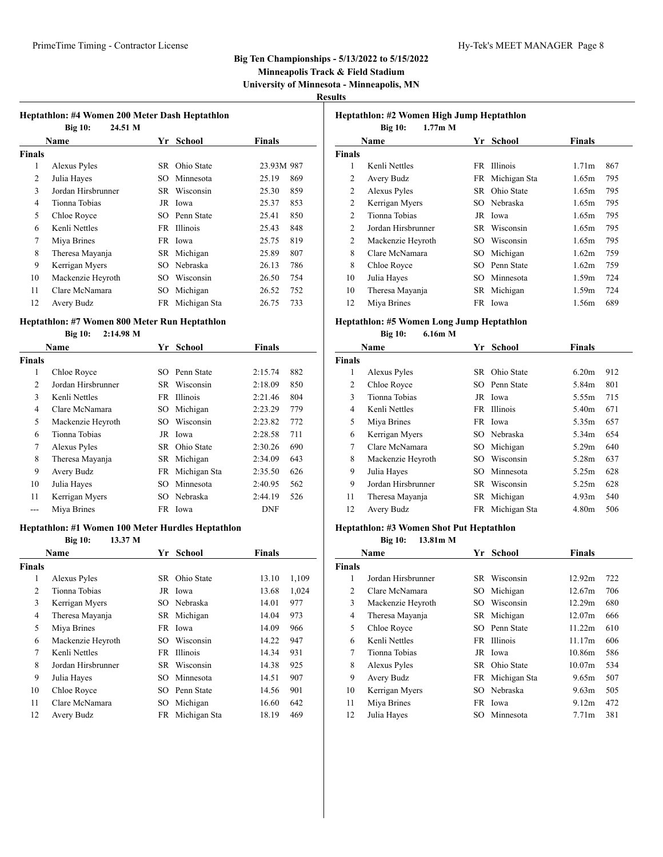**Heptathlon: #4 Women 200 Meter Dash Heptathlon**

**Name Yr** School **Finals** 

1 Alexus Pyles SR Ohio State 23.93M 987 2 Julia Hayes SO Minnesota 25.19 869 Jordan Hirsbrunner SR Wisconsin 25.30 859 Tionna Tobias JR Iowa 25.37 853 5 Chloe Royce SO Penn State 25.41 850 Kenli Nettles FR Illinois 25.43 848 Miya Brines FR Iowa 25.75 819 Theresa Mayanja SR Michigan 25.89 807 Kerrigan Myers SO Nebraska 26.13 786 Mackenzie Heyroth SO Wisconsin 26.50 754 11 Clare McNamara SO Michigan 26.52 752

**Big 10: 24.51 M**

**Finals**

#### **Big Ten Championships - 5/13/2022 to 5/15/2022**

**Minneapolis Track & Field Stadium**

**University of Minnesota - Minneapolis, MN**

**Results**

## **Heptathlon: #2 Women High Jump Heptathlon Big 10: 1.77m M Name Yr School Finals Finals** Kenli Nettles FR Illinois 1.71m 867 Avery Budz FR Michigan Sta 1.65m 795 Alexus Pyles SR Ohio State 1.65m 795 Kerrigan Myers SO Nebraska 1.65m 795 Tionna Tobias JR Iowa 1.65m 795 Jordan Hirsbrunner SR Wisconsin 1.65m 795 Mackenzie Heyroth SO Wisconsin 1.65m 795 8 Clare McNamara SO Michigan 1.62m 759

# Avery Budz FR Michigan Sta 26.75 733

#### **Heptathlon: #7 Women 800 Meter Run Heptathlon M**

| <b>Big 10:</b> | 2:14.98 |
|----------------|---------|
|----------------|---------|

|               | <b>Name</b>        |     | Yr School       | <b>Finals</b> |     |
|---------------|--------------------|-----|-----------------|---------------|-----|
| <b>Finals</b> |                    |     |                 |               |     |
| 1             | Chloe Royce        |     | SO Penn State   | 2:15.74       | 882 |
| 2             | Jordan Hirsbrunner | SR  | Wisconsin       | 2:18.09       | 850 |
| 3             | Kenli Nettles      | FR. | <b>Illinois</b> | 2:21.46       | 804 |
| 4             | Clare McNamara     | SO  | Michigan        | 2:23.29       | 779 |
| 5             | Mackenzie Heyroth  | SO  | Wisconsin       | 2:23.82       | 772 |
| 6             | Tionna Tobias      |     | JR Iowa         | 2:28.58       | 711 |
| 7             | Alexus Pyles       | SR  | - Ohio State    | 2:30.26       | 690 |
| 8             | Theresa Mayanja    |     | SR Michigan     | 2:34.09       | 643 |
| 9             | Avery Budz         |     | FR Michigan Sta | 2:35.50       | 626 |
| 10            | Julia Hayes        | SO. | Minnesota       | 2:40.95       | 562 |
| 11            | Kerrigan Myers     |     | SO Nebraska     | 2:44.19       | 526 |
| ---           | Miya Brines        |     | FR Iowa         | <b>DNF</b>    |     |

#### **Heptathlon: #1 Women 100 Meter Hurdles Heptathlon**

#### **Big 10: 13.37 M**

|                | <b>Name</b>        | Yr   | <b>School</b>   | <b>Finals</b> |       |
|----------------|--------------------|------|-----------------|---------------|-------|
| <b>Finals</b>  |                    |      |                 |               |       |
| 1              | Alexus Pyles       |      | SR Ohio State   | 13.10         | 1,109 |
| $\overline{2}$ | Tionna Tobias      |      | JR Iowa         | 13.68         | 1,024 |
| 3              | Kerrigan Myers     | SO.  | Nebraska        | 14.01         | 977   |
| 4              | Theresa Mayanja    |      | SR Michigan     | 14.04         | 973   |
| 5              | Miya Brines        | FR - | Iowa            | 14.09         | 966   |
| 6              | Mackenzie Heyroth  | SO.  | Wisconsin       | 14.22         | 947   |
| 7              | Kenli Nettles      | FR   | <b>Illinois</b> | 14.34         | 931   |
| 8              | Jordan Hirsbrunner |      | SR Wisconsin    | 14.38         | 925   |
| 9              | Julia Hayes        | SO.  | Minnesota       | 14.51         | 907   |
| 10             | Chloe Royce        | SO.  | Penn State      | 14.56         | 901   |
| 11             | Clare McNamara     | SО   | Michigan        | 16.60         | 642   |
| 12             | Avery Budz         |      | FR Michigan Sta | 18.19         | 469   |

#### **Heptathlon: #5 Women Long Jump Heptathlon**

**Big 10: 6.16m M**

|               | Name               | Yr  | <b>School</b>        | Finals            |     |
|---------------|--------------------|-----|----------------------|-------------------|-----|
| <b>Finals</b> |                    |     |                      |                   |     |
| 1             | Alexus Pyles       |     | <b>SR</b> Ohio State | 6.20m             | 912 |
| 2             | Chloe Royce        |     | SO Penn State        | 5.84m             | 801 |
| 3             | Tionna Tobias      |     | JR Iowa              | 5.55m             | 715 |
| 4             | Kenli Nettles      |     | FR Illinois          | 5.40m             | 671 |
| 5             | Miya Brines        |     | FR Iowa              | 5.35m             | 657 |
| 6             | Kerrigan Myers     |     | SO Nebraska          | 5.34m             | 654 |
| 7             | Clare McNamara     |     | SO Michigan          | 5.29m             | 640 |
| 8             | Mackenzie Heyroth  | SO. | Wisconsin            | 5.28m             | 637 |
| 9             | Julia Hayes        | SO. | Minnesota            | 5.25m             | 628 |
| 9             | Jordan Hirsbrunner |     | SR Wisconsin         | 5.25m             | 628 |
| 11            | Theresa Mayanja    |     | SR Michigan          | 4.93 <sub>m</sub> | 540 |
| 12            | Avery Budz         | FR  | Michigan Sta         | 4.80 <sub>m</sub> | 506 |

8 Chloe Royce SO Penn State 1.62m 759 Julia Hayes SO Minnesota 1.59m 724 Theresa Mayanja SR Michigan 1.59m 724 Miya Brines FR Iowa 1.56m 689

#### **Heptathlon: #3 Women Shot Put Heptathlon**

**Big 10: 13.81m M**

|                | Name               | Yr  | <b>School</b>   | Finals             |     |
|----------------|--------------------|-----|-----------------|--------------------|-----|
| <b>Finals</b>  |                    |     |                 |                    |     |
| 1              | Jordan Hirsbrunner |     | SR Wisconsin    | 12.92m             | 722 |
| $\overline{c}$ | Clare McNamara     | SO. | Michigan        | 12.67m             | 706 |
| 3              | Mackenzie Heyroth  | SO. | Wisconsin       | 12.29m             | 680 |
| 4              | Theresa Mayanja    |     | SR Michigan     | 12.07m             | 666 |
| 5              | Chloe Royce        | SO. | Penn State      | 11.22m             | 610 |
| 6              | Kenli Nettles      |     | FR Illinois     | 11.17m             | 606 |
| 7              | Tionna Tobias      |     | JR Iowa         | 10.86m             | 586 |
| 8              | Alexus Pyles       |     | SR Ohio State   | 10.07 <sub>m</sub> | 534 |
| 9              | Avery Budz         |     | FR Michigan Sta | 9.65m              | 507 |
| 10             | Kerrigan Myers     | SO. | Nebraska        | 9.63 <sub>m</sub>  | 505 |
| 11             | Miya Brines        |     | FR Iowa         | 9.12 <sub>m</sub>  | 472 |
| 12             | Julia Hayes        | SО  | Minnesota       | 7.71 <sub>m</sub>  | 381 |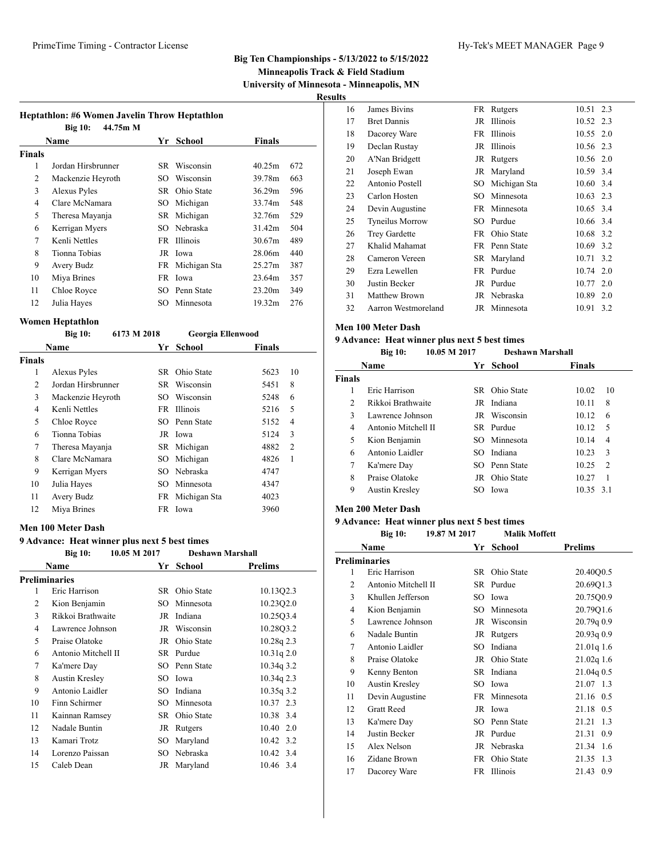**Minneapolis Track & Field Stadium University of Minnesota - Minneapolis, MN**

**Results**

| 16 | James Bivins         |    | FR Rutgers      | 10.51 2.3 |  |
|----|----------------------|----|-----------------|-----------|--|
| 17 | <b>Bret Dannis</b>   | JR | Illinois        | 10.52 2.3 |  |
| 18 | Dacorey Ware         |    | FR Illinois     | 10.55 2.0 |  |
| 19 | Declan Rustay        |    | JR Illinois     | 10.56 2.3 |  |
| 20 | A'Nan Bridgett       |    | JR Rutgers      | 10.56 2.0 |  |
| 21 | Joseph Ewan          |    | JR Maryland     | 10.59 3.4 |  |
| 22 | Antonio Postell      |    | SO Michigan Sta | 10.60 3.4 |  |
| 23 | Carlon Hosten        |    | SO Minnesota    | 10.63 2.3 |  |
| 24 | Devin Augustine      |    | FR Minnesota    | 10.65 3.4 |  |
| 25 | Tyneilus Morrow      |    | SO Purdue       | 10.66 3.4 |  |
| 26 | <b>Trey Gardette</b> |    | FR Ohio State   | 10.68 3.2 |  |
| 27 | Khalid Mahamat       |    | FR Penn State   | 10.69 3.2 |  |
| 28 | Cameron Vereen       |    | SR Maryland     | 10.71 3.2 |  |
| 29 | Ezra Lewellen        | FR | Purdue          | 10.74 2.0 |  |
| 30 | Justin Becker        |    | JR Purdue       | 10.77 2.0 |  |
| 31 | Matthew Brown        |    | JR Nebraska     | 10.89 2.0 |  |
| 32 | Aarron Westmoreland  |    | JR Minnesota    | 10.91 3.2 |  |

## **Men 100 Meter Dash**

## **9 Advance: Heat winner plus next 5 best times**

|                | $Big$ 10:           | 10.05 M 2017 | <b>Deshawn Marshall</b> |                         |
|----------------|---------------------|--------------|-------------------------|-------------------------|
|                | <b>Name</b>         |              | Yr School               | <b>Finals</b>           |
| <b>Finals</b>  |                     |              |                         |                         |
|                | Eric Harrison       |              | SR Ohio State           | 10.02<br>10             |
| $\mathfrak{D}$ | Rikkoi Brathwaite   |              | JR Indiana              | 8<br>10.11              |
| 3              | Lawrence Johnson    |              | JR Wisconsin            | 10.12<br>6              |
| 4              | Antonio Mitchell II |              | SR Purdue               | 10.12<br>-5             |
| 5              | Kion Benjamin       |              | SO Minnesota            | 10.14<br>4              |
| 6              | Antonio Laidler     |              | SO Indiana              | 3<br>10.23              |
| 7              | Ka'mere Day         |              | SO Penn State           | $\mathfrak{D}$<br>10.25 |
| 8              | Praise Olatoke      |              | JR Ohio State           | 10.27<br>1              |
| 9              | Austin Kresley      |              | SO Iowa                 | $10.35$ 3.1             |
|                |                     |              |                         |                         |

#### **Men 200 Meter Dash**

#### **9 Advance: Heat winner plus next 5 best times**

**Big 10: 19.87 M 2017 Malik Moffett**

| Name                |     | School     | Prelims                                                      |  |  |  |  |  |
|---------------------|-----|------------|--------------------------------------------------------------|--|--|--|--|--|
| Preliminaries       |     |            |                                                              |  |  |  |  |  |
| Eric Harrison       | SR. | Ohio State | 20.40Q0.5                                                    |  |  |  |  |  |
| Antonio Mitchell II |     |            | 20.69Q1.3                                                    |  |  |  |  |  |
| Khullen Jefferson   | SO. | Iowa       | 20.75Q0.9                                                    |  |  |  |  |  |
| Kion Benjamin       | SO  | Minnesota  | 20.79Q1.6                                                    |  |  |  |  |  |
| Lawrence Johnson    |     | Wisconsin  | 20.79q0.9                                                    |  |  |  |  |  |
| Nadale Buntin       | JR  | Rutgers    | 20.93q0.9                                                    |  |  |  |  |  |
| Antonio Laidler     | SO. | Indiana    | $21.01q$ 1.6                                                 |  |  |  |  |  |
| Praise Olatoke      |     | Ohio State | 21.02q 1.6                                                   |  |  |  |  |  |
| Kenny Benton        | SR  | Indiana    | $21.04q$ 0.5                                                 |  |  |  |  |  |
| Austin Kresley      | SO  | Iowa       | 21.07 1.3                                                    |  |  |  |  |  |
| Devin Augustine     |     |            | 21.16 0.5                                                    |  |  |  |  |  |
| <b>Gratt Reed</b>   |     |            | 21.18 0.5                                                    |  |  |  |  |  |
| Ka'mere Day         | SO. | Penn State | 1.3<br>21.21                                                 |  |  |  |  |  |
| Justin Becker       | JR  | Purdue     | 21.31<br>0.9                                                 |  |  |  |  |  |
| Alex Nelson         | JR  | Nebraska   | 21.34<br>1.6                                                 |  |  |  |  |  |
| Zidane Brown        | FR. | Ohio State | 21.35<br>1.3                                                 |  |  |  |  |  |
| Dacorey Ware        |     | Illinois   | 21.43<br>0.9                                                 |  |  |  |  |  |
|                     |     |            | Yr<br>SR Purdue<br>JR<br>JR<br>FR Minnesota<br>JR Iowa<br>FR |  |  |  |  |  |

| Heptathlon: #6 Women Javelin Throw Heptathlon |                                    |     |                 |                    |     |  |  |
|-----------------------------------------------|------------------------------------|-----|-----------------|--------------------|-----|--|--|
|                                               | 44.75m M<br><b>Big 10:</b><br>Name | Yr  | School          | <b>Finals</b>      |     |  |  |
| <b>Finals</b>                                 |                                    |     |                 |                    |     |  |  |
| 1                                             | Jordan Hirsbrunner                 | SR  | Wisconsin       | 40.25m             | 672 |  |  |
| 2                                             | Mackenzie Heyroth                  | SO. | Wisconsin       | 39.78m             | 663 |  |  |
| 3                                             | Alexus Pyles                       | SR. | Ohio State      | 36.29m             | 596 |  |  |
| 4                                             | Clare McNamara                     | SО  | Michigan        | 33.74m             | 548 |  |  |
| 5                                             | Theresa Mayanja                    | SR. | Michigan        | 32.76m             | 529 |  |  |
| 6                                             | Kerrigan Myers                     | SO. | Nebraska        | 31.42m             | 504 |  |  |
| 7                                             | Kenli Nettles                      |     | FR Illinois     | 30.67m             | 489 |  |  |
| 8                                             | Tionna Tobias                      |     | JR Iowa         | 28.06m             | 440 |  |  |
| 9                                             | Avery Budz                         |     | FR Michigan Sta | 25.27m             | 387 |  |  |
| 10                                            | Miya Brines                        | FR. | Iowa            | 23.64m             | 357 |  |  |
| 11                                            | Chloe Royce                        | SO. | Penn State      | 23.20m             | 349 |  |  |
| 12                                            | Julia Hayes                        | SO. | Minnesota       | 19.32 <sub>m</sub> | 276 |  |  |

# **Women Heptathlon**<br>**Big 10**

|               | <b>Big 10:</b>     | 6173 M 2018 | Georgia Ellenwood |               |                |
|---------------|--------------------|-------------|-------------------|---------------|----------------|
|               | Name               | Yr          | School            | <b>Finals</b> |                |
| <b>Finals</b> |                    |             |                   |               |                |
| 1             | Alexus Pyles       | SR          | Ohio State        | 5623          | 10             |
| 2             | Jordan Hirsbrunner | SR          | Wisconsin         | 5451          | 8              |
| 3             | Mackenzie Heyroth  | SO.         | Wisconsin         | 5248          | 6              |
| 4             | Kenli Nettles      | FR          | Illinois          | 5216          | 5              |
| 5             | Chloe Royce        | SO.         | Penn State        | 5152          | 4              |
| 6             | Tionna Tobias      |             | JR Iowa           | 5124          | 3              |
| 7             | Theresa Mayanja    |             | SR Michigan       | 4882          | $\overline{2}$ |
| 8             | Clare McNamara     |             | SO Michigan       | 4826          | 1              |
| 9             | Kerrigan Myers     | SO.         | Nebraska          | 4747          |                |
| 10            | Julia Hayes        |             | SO Minnesota      | 4347          |                |
| 11            | Avery Budz         |             | FR Michigan Sta   | 4023          |                |
| 12            | Miya Brines        |             | FR Iowa           | 3960          |                |

#### **Men 100 Meter Dash**

## **9 Advance: Heat winner plus next 5 best times**

|    | <b>Big 10:</b>        | 10.05 M 2017 | <b>Deshawn Marshall</b> |            |
|----|-----------------------|--------------|-------------------------|------------|
|    | Name                  | Yr           | School                  | Prelims    |
|    | Preliminaries         |              |                         |            |
| 1  | Eric Harrison         | SR –         | Ohio State              | 10.13Q2.3  |
| 2  | Kion Benjamin         | SO           | Minnesota               | 10.23Q2.0  |
| 3  | Rikkoj Brathwaite     | JR           | Indiana                 | 10.25Q3.4  |
| 4  | Lawrence Johnson      |              | JR Wisconsin            | 10.28Q3.2  |
| 5  | Praise Olatoke        | JR           | Ohio State              | 10.28q 2.3 |
| 6  | Antonio Mitchell II   |              | SR Purdue               | 10.31q2.0  |
| 7  | Ka'mere Day           | SO.          | Penn State              | 10.34q 3.2 |
| 8  | <b>Austin Kresley</b> | SO           | Iowa                    | 10.34q 2.3 |
| 9  | Antonio Laidler       | SO.          | Indiana                 | 10.35q3.2  |
| 10 | Finn Schirmer         | SО           | Minnesota               | 10.37 2.3  |
| 11 | Kainnan Ramsey        | SR           | Ohio State              | 10.38 3.4  |
| 12 | Nadale Buntin         | JR           | Rutgers                 | 10.40 2.0  |
| 13 | Kamari Trotz          | SO           | Maryland                | 10.42 3.2  |
| 14 | Lorenzo Paissan       | SO.          | Nebraska                | 10.42 3.4  |
| 15 | Caleb Dean            | JR           | Maryland                | 10.46 3.4  |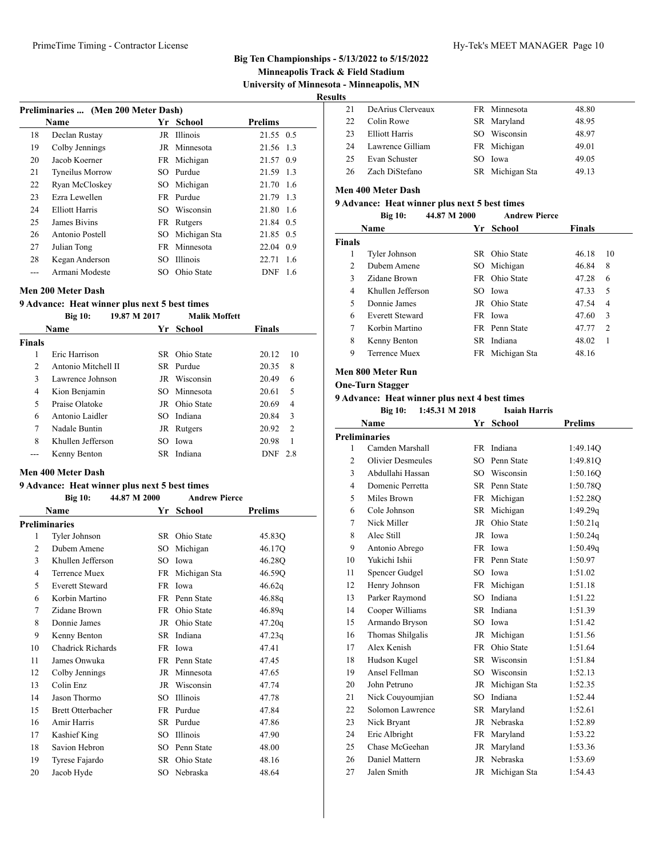**Minneapolis Track & Field Stadium**

**University of Minnesota - Minneapolis, MN**

**Results**

|    | Preliminaries  (Men 200 Meter Dash) |     |                 |                |      |  |  |  |
|----|-------------------------------------|-----|-----------------|----------------|------|--|--|--|
|    | <b>Name</b>                         |     | Yr School       | <b>Prelims</b> |      |  |  |  |
| 18 | Declan Rustay                       | JR  | <b>Illinois</b> | 21.55 0.5      |      |  |  |  |
| 19 | Colby Jennings                      |     | JR Minnesota    | 21.56 1.3      |      |  |  |  |
| 20 | Jacob Koerner                       |     | FR Michigan     | 21.57 0.9      |      |  |  |  |
| 21 | <b>Tyneilus Morrow</b>              |     | SO Purdue       | 21.59 1.3      |      |  |  |  |
| 22 | Ryan McCloskey                      |     | SO Michigan     | 21.70 1.6      |      |  |  |  |
| 23 | Ezra Lewellen                       | FR. | Purdue          | 21.79 1.3      |      |  |  |  |
| 24 | Elliott Harris                      |     | SO Wisconsin    | 21.80 1.6      |      |  |  |  |
| 25 | James Bivins                        |     | FR Rutgers      | 21.84 0.5      |      |  |  |  |
| 26 | Antonio Postell                     | SO. | Michigan Sta    | 21.85 0.5      |      |  |  |  |
| 27 | Julian Tong                         | FR. | Minnesota       | 22.04 0.9      |      |  |  |  |
| 28 | Kegan Anderson                      | SO. | <b>Illinois</b> | 22.71          | -1.6 |  |  |  |
|    | Armani Modeste                      | SO. | Ohio State      | DNF            | 1.6  |  |  |  |
|    |                                     |     |                 |                |      |  |  |  |

#### **Men 200 Meter Dash**

# **9 Advance: Heat winner plus next 5 best times**

|                | <b>Big 10:</b>      | 19.87 M 2017 | <b>Malik Moffett</b> |               |                |
|----------------|---------------------|--------------|----------------------|---------------|----------------|
|                | <b>Name</b>         |              | Yr School            | <b>Finals</b> |                |
| <b>Finals</b>  |                     |              |                      |               |                |
| 1              | Eric Harrison       |              | SR Ohio State        | 20.12         | 10             |
| $\overline{2}$ | Antonio Mitchell II |              | SR Purdue            | 20.35         | 8              |
| 3              | Lawrence Johnson    |              | JR Wisconsin         | 20.49         | 6              |
| 4              | Kion Benjamin       |              | SO Minnesota         | 20.61         | 5              |
| 5              | Praise Olatoke      |              | JR Ohio State        | 20.69         | 4              |
| 6              | Antonio Laidler     |              | SO Indiana           | 20.84         | 3              |
| 7              | Nadale Buntin       |              | JR Rutgers           | 20.92         | $\overline{2}$ |
| 8              | Khullen Jefferson   |              | SO Iowa              | 20.98         |                |
| ---            | Kenny Benton        |              | SR Indiana           | DNF           | 2.8            |

## **Men 400 Meter Dash**

#### **9 Advance: Heat winner plus next 5 best times Big 10: 44.87 M 2000 Andrew Pierce**

|                |                          | 0 1 000 |                 |                |
|----------------|--------------------------|---------|-----------------|----------------|
|                | Name                     |         | Yr School       | <b>Prelims</b> |
|                | <b>Preliminaries</b>     |         |                 |                |
| 1              | Tyler Johnson            | SR.     | Ohio State      | 45.83Q         |
| $\overline{2}$ | Dubem Amene              | SO      | Michigan        | 46.17Q         |
| 3              | Khullen Jefferson        | SO      | Iowa            | 46.28Q         |
| 4              | Terrence Muex            |         | FR Michigan Sta | 46.59Q         |
| 5              | <b>Everett Steward</b>   |         | FR Iowa         | 46.62q         |
| 6              | Korbin Martino           |         | FR Penn State   | 46.88q         |
| 7              | Zidane Brown             | FR      | Ohio State      | 46.89q         |
| 8              | Donnie James             | JR      | Ohio State      | 47.20q         |
| 9              | Kenny Benton             | SR.     | Indiana         | 47.23q         |
| 10             | Chadrick Richards        |         | FR Iowa         | 47.41          |
| 11             | James Onwuka             |         | FR Penn State   | 47.45          |
| 12             | Colby Jennings           | JR      | Minnesota       | 47.65          |
| 13             | Colin Enz                |         | JR Wisconsin    | 47.74          |
| 14             | Jason Thormo             | SO      | Illinois        | 47.78          |
| 15             | <b>Brett Otterbacher</b> |         | FR Purdue       | 47.84          |
| 16             | Amir Harris              |         | SR Purdue       | 47.86          |
| 17             | Kashief King             | SO.     | Illinois        | 47.90          |
| 18             | Savion Hebron            | SO.     | Penn State      | 48.00          |
| 19             | Tyrese Fajardo           | SR      | Ohio State      | 48.16          |
| 20             | Jacob Hyde               |         | SO Nebraska     | 48.64          |

| 21 | DeArius Clerveaux     | FR Minnesota    | 48.80 |
|----|-----------------------|-----------------|-------|
| 22 | Colin Rowe            | SR Maryland     | 48.95 |
| 23 | <b>Elliott Harris</b> | SO Wisconsin    | 48.97 |
| 24 | Lawrence Gilliam      | FR Michigan     | 49.01 |
| 25 | Evan Schuster         | SO Iowa         | 49.05 |
| 26 | Zach DiStefano        | SR Michigan Sta | 49.13 |
|    |                       |                 |       |

## **Men 400 Meter Dash**

#### **9 Advance: Heat winner plus next 5 best times**

|               | Big 10:           | 44.87 M 2000 | <b>Andrew Pierce</b> |               |    |
|---------------|-------------------|--------------|----------------------|---------------|----|
|               | Name              |              | Yr School            | <b>Finals</b> |    |
| <b>Finals</b> |                   |              |                      |               |    |
| 1             | Tyler Johnson     |              | SR Ohio State        | 46.18         | 10 |
| 2             | Dubem Amene       |              | SO Michigan          | 46.84         | 8  |
| 3             | Zidane Brown      |              | FR Ohio State        | 47.28         | 6  |
| 4             | Khullen Jefferson |              | SO Iowa              | 47.33         | 5  |
| 5             | Donnie James      |              | JR Ohio State        | 47.54         | 4  |
| 6             | Everett Steward   |              | FR Iowa              | 47.60         | 3  |
| 7             | Korbin Martino    |              | FR Penn State        | 47.77         | 2  |
| 8             | Kenny Benton      |              | SR Indiana           | 48.02         | -1 |
| 9             | Terrence Muex     |              | FR Michigan Sta      | 48.16         |    |

## **Men 800 Meter Run**

## **One-Turn Stagger**

#### **9 Advance: Heat winner plus next 4 best times Big 10: 1:45.31 M 2018 Isaiah Harris**

| Name<br><b>Preliminaries</b> |                 | Yr School  | <b>Prelims</b>                                                                                                                                                                                                                                                                                                                          |
|------------------------------|-----------------|------------|-----------------------------------------------------------------------------------------------------------------------------------------------------------------------------------------------------------------------------------------------------------------------------------------------------------------------------------------|
|                              |                 |            |                                                                                                                                                                                                                                                                                                                                         |
|                              |                 |            |                                                                                                                                                                                                                                                                                                                                         |
|                              |                 |            | 1:49.14Q                                                                                                                                                                                                                                                                                                                                |
| <b>Olivier Desmeules</b>     | SO.             | Penn State | 1:49.81Q                                                                                                                                                                                                                                                                                                                                |
| Abdullahi Hassan             |                 |            | 1:50.16O                                                                                                                                                                                                                                                                                                                                |
| Domenic Perretta             |                 |            | 1:50.78Q                                                                                                                                                                                                                                                                                                                                |
| Miles Brown                  |                 |            | 1:52.28Q                                                                                                                                                                                                                                                                                                                                |
| Cole Johnson                 |                 | Michigan   | 1:49.29q                                                                                                                                                                                                                                                                                                                                |
| Nick Miller                  |                 | Ohio State | 1:50.21q                                                                                                                                                                                                                                                                                                                                |
| Alec Still                   |                 |            | 1:50.24q                                                                                                                                                                                                                                                                                                                                |
| Antonio Abrego               |                 |            | 1:50.49q                                                                                                                                                                                                                                                                                                                                |
| Yukichi Ishii                |                 |            | 1:50.97                                                                                                                                                                                                                                                                                                                                 |
| Spencer Gudgel               |                 |            | 1:51.02                                                                                                                                                                                                                                                                                                                                 |
| Henry Johnson                |                 |            | 1:51.18                                                                                                                                                                                                                                                                                                                                 |
| Parker Raymond               | SO.             |            | 1:51.22                                                                                                                                                                                                                                                                                                                                 |
| Cooper Williams              |                 |            | 1:51.39                                                                                                                                                                                                                                                                                                                                 |
| Armando Bryson               |                 |            | 1:51.42                                                                                                                                                                                                                                                                                                                                 |
| Thomas Shilgalis             |                 |            | 1:51.56                                                                                                                                                                                                                                                                                                                                 |
| Alex Kenish                  |                 | Ohio State | 1:51.64                                                                                                                                                                                                                                                                                                                                 |
| Hudson Kugel                 |                 |            | 1:51.84                                                                                                                                                                                                                                                                                                                                 |
| Ansel Fellman                |                 |            | 1:52.13                                                                                                                                                                                                                                                                                                                                 |
| John Petruno                 |                 |            | 1:52.35                                                                                                                                                                                                                                                                                                                                 |
| Nick Couyoumjian             | SO.             | Indiana    | 1:52.44                                                                                                                                                                                                                                                                                                                                 |
| Solomon Lawrence             |                 | Maryland   | 1:52.61                                                                                                                                                                                                                                                                                                                                 |
| Nick Bryant                  |                 |            | 1:52.89                                                                                                                                                                                                                                                                                                                                 |
| Eric Albright                |                 |            | 1:53.22                                                                                                                                                                                                                                                                                                                                 |
| Chase McGeehan               |                 | Maryland   | 1:53.36                                                                                                                                                                                                                                                                                                                                 |
| Daniel Mattern               |                 |            | 1:53.69                                                                                                                                                                                                                                                                                                                                 |
| Jalen Smith                  |                 |            | 1:54.43                                                                                                                                                                                                                                                                                                                                 |
|                              | Camden Marshall |            | FR Indiana<br>SO Wisconsin<br>SR Penn State<br>FR Michigan<br>SR<br>JR<br>JR Iowa<br>FR Iowa<br>FR Penn State<br>SO Iowa<br>FR Michigan<br>Indiana<br>SR Indiana<br>SO Iowa<br>JR Michigan<br><b>FR</b><br>SR Wisconsin<br>SO Wisconsin<br>JR Michigan Sta<br>SR.<br>JR Nebraska<br>FR Maryland<br>JR<br>JR Nebraska<br>JR Michigan Sta |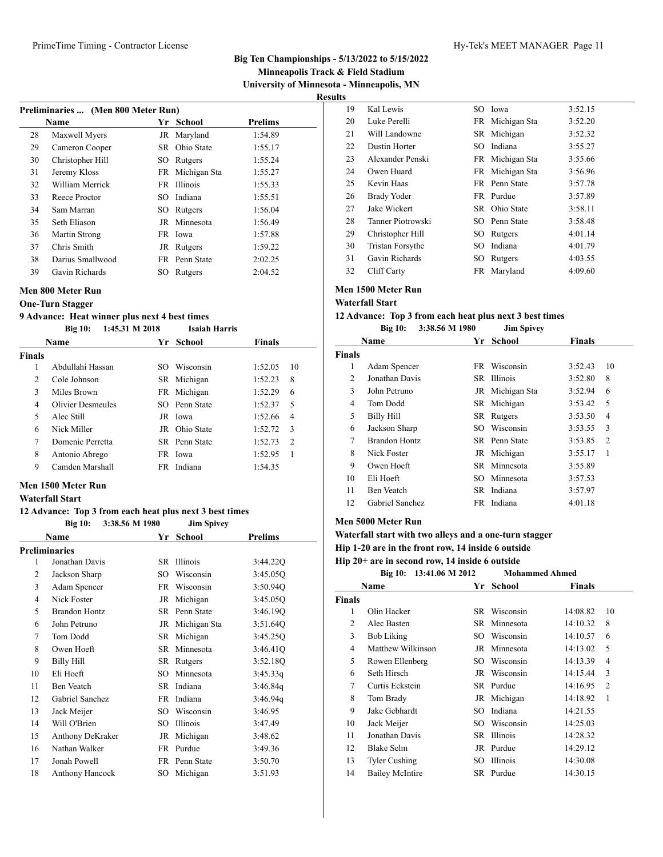**Minneapolis Track & Field Stadium**

**University of Minnesota - Minneapolis, MN**

**Results**

|    | Preliminaries  (Men 800 Meter Run) |     |                 |                |  |
|----|------------------------------------|-----|-----------------|----------------|--|
|    | Name                               | Yr  | School          | <b>Prelims</b> |  |
| 28 | Maxwell Myers                      |     | JR Maryland     | 1:54.89        |  |
| 29 | Cameron Cooper                     |     | SR Ohio State   | 1:55.17        |  |
| 30 | Christopher Hill                   | SO. | Rutgers         | 1:55.24        |  |
| 31 | Jeremy Kloss                       |     | FR Michigan Sta | 1:55.27        |  |
| 32 | William Merrick                    |     | FR Illinois     | 1:55.33        |  |
| 33 | Reece Proctor                      | SO. | Indiana         | 1:55.51        |  |
| 34 | Sam Marran                         | SО  | Rutgers         | 1:56.04        |  |
| 35 | Seth Eliason                       | JR  | Minnesota       | 1:56.49        |  |
| 36 | Martin Strong                      | FR. | Iowa            | 1:57.88        |  |
| 37 | Chris Smith                        | JR  | Rutgers         | 1:59.22        |  |
| 38 | Darius Smallwood                   |     | FR Penn State   | 2:02.25        |  |
| 39 | Gavin Richards                     | SО  | Rutgers         | 2:04.52        |  |
|    |                                    |     |                 |                |  |

#### **Men 800 Meter Run**

#### **One-Turn Stagger**

#### **9 Advance: Heat winner plus next 4 best times**

|               | <b>Big 10:</b>    | 1:45.31 M 2018 | Isaiah Harris        |               |                |
|---------------|-------------------|----------------|----------------------|---------------|----------------|
|               | Name              |                | Yr School            | <b>Finals</b> |                |
| <b>Finals</b> |                   |                |                      |               |                |
| 1             | Abdullahi Hassan  | SO.            | Wisconsin            | 1:52.05       | 10             |
| 2             | Cole Johnson      |                | SR Michigan          | 1:52.23       | 8              |
| 3             | Miles Brown       | FR.            | Michigan             | 1:52.29       | 6              |
| 4             | Olivier Desmeules |                | SO Penn State        | 1:52.37       | 5              |
| 5             | Alec Still        |                | JR Iowa              | 1:52.66       | 4              |
| 6             | Nick Miller       |                | <b>IR</b> Ohio State | 1:52.72       | 3              |
| 7             | Domenic Perretta  |                | <b>SR</b> Penn State | 1:52.73       | $\overline{c}$ |
| 8             | Antonio Abrego    |                | FR Iowa              | 1:52.95       | 1              |
| 9             | Camden Marshall   |                | FR Indiana           | 1:54.35       |                |

## **Men 1500 Meter Run**

#### **Waterfall Start**

#### **12 Advance: Top 3 from each heat plus next 3 best times**

**Big 10: 3:38.56 M 1980 Jim Spivey Name Yr School Prelims Preliminaries** Jonathan Davis SR Illinois 3:44.22Q 2 Jackson Sharp SO Wisconsin 3:45.05Q Adam Spencer FR Wisconsin 3:50.94Q Nick Foster JR Michigan 3:45.05Q Brandon Hontz SR Penn State 3:46.19Q John Petruno JR Michigan Sta 3:51.64Q Tom Dodd SR Michigan 3:45.25Q Owen Hoeft SR Minnesota 3:46.41Q Billy Hill SR Rutgers 3:52.18Q 10 Eli Hoeft SO Minnesota 3:45.33q Ben Veatch SR Indiana 3:46.84q Gabriel Sanchez FR Indiana 3:46.94q Jack Meijer SO Wisconsin 3:46.95 Will O'Brien SO Illinois 3:47.49 Anthony DeKraker JR Michigan 3:48.62 Nathan Walker FR Purdue 3:49.36 Jonah Powell FR Penn State 3:50.70 Anthony Hancock SO Michigan 3:51.93

| 19 | Kal Lewis         |      | SO Iowa         | 3:52.15 |
|----|-------------------|------|-----------------|---------|
| 20 | Luke Perelli      |      | FR Michigan Sta | 3:52.20 |
| 21 | Will Landowne     |      | SR Michigan     | 3:52.32 |
| 22 | Dustin Horter     | SO - | Indiana         | 3:55.27 |
| 23 | Alexander Penski  |      | FR Michigan Sta | 3:55.66 |
| 24 | Owen Huard        |      | FR Michigan Sta | 3:56.96 |
| 25 | Kevin Haas        |      | FR Penn State   | 3:57.78 |
| 26 | Brady Yoder       |      | FR Purdue       | 3:57.89 |
| 27 | Jake Wickert      |      | SR Ohio State   | 3:58.11 |
| 28 | Tanner Piotrowski |      | SO Penn State   | 3:58.48 |
| 29 | Christopher Hill  |      | SO Rutgers      | 4:01.14 |
| 30 | Tristan Forsythe  | SO.  | Indiana         | 4:01.79 |
| 31 | Gavin Richards    | SO.  | Rutgers         | 4:03.55 |
| 32 | Cliff Carty       | FR   | Maryland        | 4:09.60 |

## **Men 1500 Meter Run**

## **Waterfall Start**

#### **12 Advance: Top 3 from each heat plus next 3 best times**

|               | $Big$ 10:         | 3:38.56 M 1980 | <b>Jim Spivey</b> |               |                |
|---------------|-------------------|----------------|-------------------|---------------|----------------|
|               | Name              | Yr             | School            | <b>Finals</b> |                |
| <b>Finals</b> |                   |                |                   |               |                |
| 1             | Adam Spencer      | FR.            | Wisconsin         | 3:52.43       | 10             |
| 2             | Jonathan Davis    |                | SR Illinois       | 3:52.80       | 8              |
| 3             | John Petruno      |                | JR Michigan Sta   | 3:52.94       | 6              |
| 4             | Tom Dodd          |                | SR Michigan       | 3:53.42       | 5              |
| 5             | Billy Hill        |                | SR Rutgers        | 3:53.50       | 4              |
| 6             | Jackson Sharp     |                | SO Wisconsin      | 3:53.55       | 3              |
| 7             | Brandon Hontz     |                | SR Penn State     | 3:53.85       | $\overline{2}$ |
| 8             | Nick Foster       |                | JR Michigan       | 3:55.17       | 1              |
| 9             | Owen Hoeft        |                | SR Minnesota      | 3:55.89       |                |
| 10            | Eli Hoeft         |                | SO Minnesota      | 3:57.53       |                |
| 11            | <b>Ben Veatch</b> |                | SR Indiana        | 3:57.97       |                |
| 12            | Gabriel Sanchez   |                | FR Indiana        | 4:01.18       |                |

#### **Men 5000 Meter Run**

#### **Waterfall start with two alleys and a one-turn stagger**

**Hip 1-20 are in the front row, 14 inside 6 outside**

#### **Hip 20+ are in second row, 14 inside 6 outside**

|               | Big 10: 13:41.06 M 2012 |     | <b>Mohammed Ahmed</b> |               |                |
|---------------|-------------------------|-----|-----------------------|---------------|----------------|
|               | Name                    | Yr  | School                | <b>Finals</b> |                |
| <b>Finals</b> |                         |     |                       |               |                |
| 1             | Olin Hacker             | SR  | Wisconsin             | 14:08.82      | 10             |
| 2             | Alec Basten             | SR  | Minnesota             | 14:10.32      | 8              |
| 3             | <b>Bob Liking</b>       | SO. | Wisconsin             | 14:10.57      | 6              |
| 4             | Matthew Wilkinson       | JR  | Minnesota             | 14:13.02      | 5              |
| 5             | Rowen Ellenberg         | SO. | Wisconsin             | 14:13.39      | 4              |
| 6             | Seth Hirsch             | JR  | Wisconsin             | 14:15.44      | 3              |
| 7             | Curtis Eckstein         | SR  | Purdue                | 14:16.95      | $\overline{c}$ |
| 8             | Tom Brady               |     | JR Michigan           | 14:18.92      | 1              |
| 9             | Jake Gebhardt           | SO  | Indiana               | 14:21.55      |                |
| 10            | Jack Meijer             | SO. | Wisconsin             | 14:25.03      |                |
| 11            | Jonathan Davis          | SR  | Illinois              | 14:28.32      |                |
| 12            | <b>Blake Selm</b>       | JR  | Purdue                | 14:29.12      |                |
| 13            | <b>Tyler Cushing</b>    | SО  | Illinois              | 14:30.08      |                |
| 14            | <b>Bailey McIntire</b>  |     | SR Purdue             | 14:30.15      |                |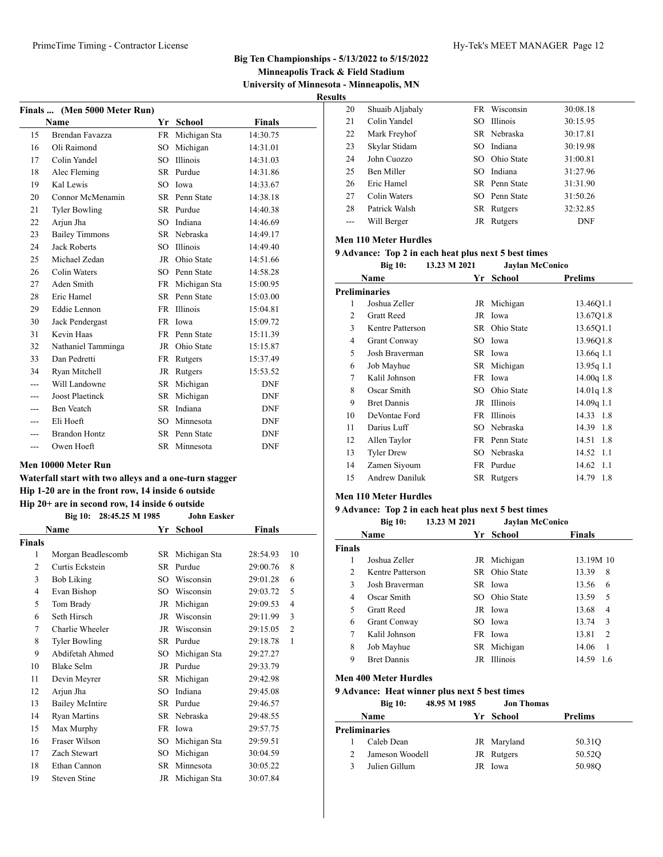**Minneapolis Track & Field Stadium University of Minnesota - Minneapolis, MN**

**Results**

| Finals  (Men 5000 Meter Run) |                        |           |                 |               |  |  |
|------------------------------|------------------------|-----------|-----------------|---------------|--|--|
|                              | <b>Name</b>            | Yr        | School          | <b>Finals</b> |  |  |
| 15                           | Brendan Favazza        | FR        | Michigan Sta    | 14:30.75      |  |  |
| 16                           | Oli Raimond            | SO        | Michigan        | 14:31.01      |  |  |
| 17                           | Colin Yandel           | SO.       | <b>Illinois</b> | 14:31.03      |  |  |
| 18                           | Alec Fleming           | SR.       | Purdue          | 14:31.86      |  |  |
| 19                           | Kal Lewis              | SO.       | Iowa            | 14:33.67      |  |  |
| 20                           | Connor McMenamin       | <b>SR</b> | Penn State      | 14:38.18      |  |  |
| 21                           | <b>Tyler Bowling</b>   | SR.       | Purdue          | 14:40.38      |  |  |
| 22                           | Arjun Jha              | SO.       | Indiana         | 14:46.69      |  |  |
| 23                           | <b>Bailey Timmons</b>  |           | SR Nebraska     | 14:49.17      |  |  |
| 24                           | <b>Jack Roberts</b>    | SO.       | <b>Illinois</b> | 14:49.40      |  |  |
| 25                           | Michael Zedan          | JR        | Ohio State      | 14:51.66      |  |  |
| 26                           | Colin Waters           | SO.       | Penn State      | 14:58.28      |  |  |
| 27                           | Aden Smith             | <b>FR</b> | Michigan Sta    | 15:00.95      |  |  |
| 28                           | Eric Hamel             | SR.       | Penn State      | 15:03.00      |  |  |
| 29                           | Eddie Lennon           | FR.       | <b>Illinois</b> | 15:04.81      |  |  |
| 30                           | Jack Pendergast        | FR -      | Iowa            | 15:09.72      |  |  |
| 31                           | Kevin Haas             | <b>FR</b> | Penn State      | 15:11.39      |  |  |
| 32                           | Nathaniel Tamminga     | JR        | Ohio State      | 15:15.87      |  |  |
| 33                           | Dan Pedretti           | FR.       | Rutgers         | 15:37.49      |  |  |
| 34                           | Ryan Mitchell          | <b>JR</b> | Rutgers         | 15:53.52      |  |  |
|                              | Will Landowne          | SR        | Michigan        | <b>DNF</b>    |  |  |
|                              | <b>Joost Plaetinck</b> | <b>SR</b> | Michigan        | <b>DNF</b>    |  |  |
|                              | <b>Ben Veatch</b>      | SR        | Indiana         | <b>DNF</b>    |  |  |
| ---                          | Eli Hoeft              | SO        | Minnesota       | <b>DNF</b>    |  |  |
|                              | <b>Brandon Hontz</b>   | SR        | Penn State      | <b>DNF</b>    |  |  |
| ---                          | Owen Hoeft             | SR        | Minnesota       | <b>DNF</b>    |  |  |

## **Men 10000 Meter Run**

## **Waterfall start with two alleys and a one-turn stagger Hip 1-20 are in the front row, 14 inside 6 outside**

#### **Hip 20+ are in second row, 14 inside 6 outside Big 10: 28:45.25 M 1985 John Easker**

|                | $-0.10140$ $-1.100$    |           |                  |          |                |
|----------------|------------------------|-----------|------------------|----------|----------------|
|                | Name                   | Yr        | School           | Finals   |                |
| Finals         |                        |           |                  |          |                |
| 1              | Morgan Beadlescomb     | SR        | Michigan Sta     | 28:54.93 | 10             |
| $\overline{c}$ | Curtis Eckstein        | <b>SR</b> | Purdue           | 29:00.76 | 8              |
| 3              | <b>Bob Liking</b>      | SO        | Wisconsin        | 29:01.28 | 6              |
| 4              | Evan Bishop            | SO        | Wisconsin        | 29:03.72 | 5              |
| 5              | Tom Brady              | JR        | Michigan         | 29:09.53 | 4              |
| 6              | Seth Hirsch            | JR        | <b>Wisconsin</b> | 29:11.99 | 3              |
| 7              | Charlie Wheeler        | JR        | Wisconsin        | 29:15.05 | $\overline{2}$ |
| 8              | <b>Tyler Bowling</b>   | SR.       | Purdue           | 29:18.78 | 1              |
| 9              | Abdifetah Ahmed        | SO        | Michigan Sta     | 29:27.27 |                |
| 10             | Blake Selm             | JR        | Purdue           | 29:33.79 |                |
| 11             | Devin Meyrer           | SR        | Michigan         | 29:42.98 |                |
| 12             | Arjun Jha              | SO        | Indiana          | 29:45.08 |                |
| 13             | <b>Bailey McIntire</b> | SR        | Purdue           | 29:46.57 |                |
| 14             | <b>Ryan Martins</b>    | SR        | Nebraska         | 29:48.55 |                |
| 15             | Max Murphy             | FR        | Iowa             | 29:57.75 |                |
| 16             | <b>Fraser Wilson</b>   | SO        | Michigan Sta     | 29:59.51 |                |
| 17             | Zach Stewart           | SO        | Michigan         | 30:04.59 |                |
| 18             | Ethan Cannon           | SR.       | Minnesota        | 30:05.22 |                |
| 19             | <b>Steven Stine</b>    | JR        | Michigan Sta     | 30:07.84 |                |

| 20 | Shuaib Aljabaly |     | FR Wisconsin    | 30:08.18   |
|----|-----------------|-----|-----------------|------------|
| 21 | Colin Yandel    | SO. | <b>Illinois</b> | 30:15.95   |
| 22 | Mark Freyhof    |     | SR Nebraska     | 30:17.81   |
| 23 | Skylar Stidam   |     | SO Indiana      | 30:19.98   |
| 24 | John Cuozzo     |     | SO Ohio State   | 31:00.81   |
| 25 | Ben Miller      |     | SO Indiana      | 31:27.96   |
| 26 | Eric Hamel      |     | SR Penn State   | 31:31.90   |
| 27 | Colin Waters    |     | SO Penn State   | 31:50.26   |
| 28 | Patrick Walsh   |     | SR Rutgers      | 32:32.85   |
|    | Will Berger     | JR  | Rutgers         | <b>DNF</b> |
|    |                 |     |                 |            |

#### **Men 110 Meter Hurdles**

## **9 Advance: Top 2 in each heat plus next 5 best times**

| <b>Big 10:</b> | 13.23 M 2021 | <b>Jaylan McConico</b> |
|----------------|--------------|------------------------|
|                |              |                        |

|                | Name                  | Yr  | <b>School</b>   | <b>Prelims</b> |
|----------------|-----------------------|-----|-----------------|----------------|
|                | <b>Preliminaries</b>  |     |                 |                |
| 1              | Joshua Zeller         | JR  | Michigan        | 13.46Q1.1      |
| $\overline{c}$ | <b>Gratt Reed</b>     |     | JR Iowa         | 13.67Q1.8      |
| 3              | Kentre Patterson      |     | SR Ohio State   | 13.65Q1.1      |
| 4              | <b>Grant Conway</b>   |     | SO Iowa         | 13.96Q1.8      |
| 5              | Josh Braverman        |     | SR Iowa         | 13.66q 1.1     |
| 6              | Job Mayhue            |     | SR Michigan     | 13.95q 1.1     |
| 7              | Kalil Johnson         |     | FR Iowa         | $14.00q$ 1.8   |
| 8              | Oscar Smith           |     | SO Ohio State   | $14.01q$ 1.8   |
| 9              | <b>Bret Dannis</b>    | JR  | <b>Illinois</b> | 14.09q 1.1     |
| 10             | DeVontae Ford         |     | FR Illinois     | 14.33 1.8      |
| 11             | Darius Luff           | SO. | Nebraska        | 14.39 1.8      |
| 12             | Allen Taylor          |     | FR Penn State   | 14.51<br>-1.8  |
| 13             | <b>Tyler Drew</b>     |     | SO Nebraska     | 14.52 1.1      |
| 14             | Zamen Siyoum          |     | FR Purdue       | 14.62 1.1      |
| 15             | <b>Andrew Daniluk</b> | SR  | Rutgers         | 14.79<br>1.8   |
|                |                       |     |                 |                |

#### **Men 110 Meter Hurdles**

#### **9 Advance: Top 2 in each heat plus next 5 best times**

|        | <b>Big 10:</b>      | 13.23 M 2021 | <b>Jaylan McConico</b> |                         |
|--------|---------------------|--------------|------------------------|-------------------------|
|        | Name                | Yr           | School                 | <b>Finals</b>           |
| Finals |                     |              |                        |                         |
| 1      | Joshua Zeller       |              | JR Michigan            | 13.19M 10               |
| 2      | Kentre Patterson    |              | SR Ohio State          | 8<br>13.39              |
| 3      | Josh Braverman      |              | SR Iowa                | 13.56<br>6              |
| 4      | Oscar Smith         |              | SO Ohio State          | 5<br>13.59              |
| 5      | <b>Gratt Reed</b>   |              | JR Iowa                | 13.68<br>4              |
| 6      | <b>Grant Conway</b> |              | SO Iowa                | 3<br>13.74              |
| 7      | Kalil Johnson       |              | FR Iowa                | $\overline{2}$<br>13.81 |
| 8      | Job Mayhue          |              | SR Michigan            | 14.06<br>1              |
| 9      | <b>Bret Dannis</b>  | JR           | <b>Illinois</b>        | 14.59<br>1.6            |

#### **Men 400 Meter Hurdles**

#### **9 Advance: Heat winner plus next 5 best times**

|               | Big 10:              | 48.95 M 1985 | <b>Jon Thomas</b> |         |
|---------------|----------------------|--------------|-------------------|---------|
|               | <b>Name</b>          |              | Yr School         | Prelims |
|               | <b>Preliminaries</b> |              |                   |         |
|               | Caleb Dean           |              | JR Maryland       | 50.31Q  |
| $\mathcal{P}$ | Jameson Woodell      |              | JR Rutgers        | 50.52Q  |
| 3             | Julien Gillum        |              | JR Iowa           | 50.98Q  |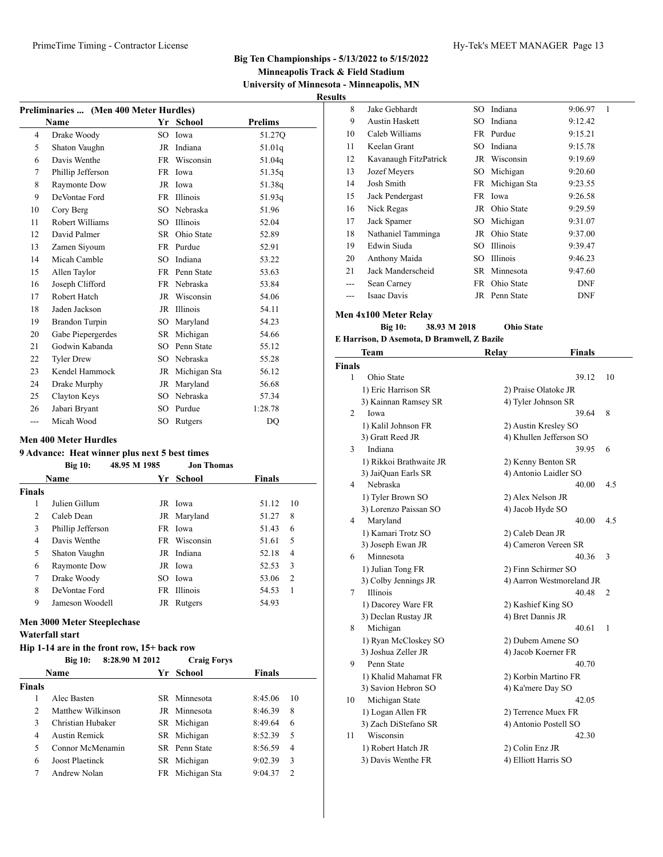**Preliminaries ... (Men 400 Meter Hurdles)**

## **Big Ten Championships - 5/13/2022 to 5/15/2022**

**Minneapolis Track & Field Stadium University of Minnesota - Minneapolis, MN**

# **Results Name Yr School Prelims** 4 Drake Woody SO Iowa 51.27Q<br>5 Shaton Vauchn IR Indiana 51.01g 5 Shaton Vaughn JR Indiana 51.01q 8 Jake Gebbardt SO Indiana 9:06.97 1

| C     | Shaton Vaughn         | JK.       | Indiana      | 51.01g  |
|-------|-----------------------|-----------|--------------|---------|
| 6     | Davis Wenthe          | <b>FR</b> | Wisconsin    | 51.04q  |
| 7     | Phillip Jefferson     | FR        | Iowa         | 51.35q  |
| 8     | Raymonte Dow          | JR        | Iowa         | 51.38q  |
| 9     | DeVontae Ford         | <b>FR</b> | Illinois     | 51.93q  |
| 10    | Cory Berg             | SO.       | Nebraska     | 51.96   |
| 11    | Robert Williams       | SO.       | Illinois     | 52.04   |
| 12    | David Palmer          | <b>SR</b> | Ohio State   | 52.89   |
| 13    | Zamen Siyoum          | FR        | Purdue       | 52.91   |
| 14    | Micah Camble          | SO.       | Indiana      | 53.22   |
| 15    | Allen Taylor          | FR        | Penn State   | 53.63   |
| 16    | Joseph Clifford       | FR        | Nebraska     | 53.84   |
| 17    | Robert Hatch          | JR        | Wisconsin    | 54.06   |
| 18    | Jaden Jackson         | JR        | Illinois     | 54.11   |
| 19    | <b>Brandon Turpin</b> | SO        | Maryland     | 54.23   |
| 20    | Gabe Piepergerdes     | SR        | Michigan     | 54.66   |
| 21    | Godwin Kabanda        | SO        | Penn State   | 55.12   |
| 22    | <b>Tyler Drew</b>     | SO        | Nebraska     | 55.28   |
| 23    | Kendel Hammock        | JR        | Michigan Sta | 56.12   |
| 24    | Drake Murphy          | JR        | Maryland     | 56.68   |
| 25    | Clayton Keys          | SO.       | Nebraska     | 57.34   |
| 26    | Jabari Bryant         | SO        | Purdue       | 1:28.78 |
| $---$ | Micah Wood            | SO        | Rutgers      | DQ      |

## **Men 400 Meter Hurdles**

## **9 Advance: Heat winner plus next 5 best times**

|        | <b>Big 10:</b>    | 48.95 M 1985 | <b>Jon Thomas</b> |               |                |
|--------|-------------------|--------------|-------------------|---------------|----------------|
|        | <b>Name</b>       | Yr           | School            | <b>Finals</b> |                |
| Finals |                   |              |                   |               |                |
| 1      | Julien Gillum     |              | JR Iowa           | 51.12         | 10             |
| 2      | Caleb Dean        |              | JR Maryland       | 51.27         | 8              |
| 3      | Phillip Jefferson |              | FR Iowa           | 51.43         | 6              |
| 4      | Davis Wenthe      |              | FR Wisconsin      | 51.61         | 5              |
| 5      | Shaton Vaughn     |              | JR Indiana        | 52.18         | 4              |
| 6      | Raymonte Dow      |              | JR Iowa           | 52.53         | 3              |
| 7      | Drake Woody       |              | SO Iowa           | 53.06         | $\overline{2}$ |
| 8      | DeVontae Ford     |              | FR Illinois       | 54.53         | 1              |
| 9      | Jameson Woodell   | JR           | Rutgers           | 54.93         |                |
|        |                   |              |                   |               |                |

## **Men 3000 Meter Steeplechase**

## **Waterfall start**

## **Hip 1-14 are in the front row, 15+ back row**

| <b>Big 10:</b>         |     | <b>Craig Forys</b> |                                                                                                             |    |
|------------------------|-----|--------------------|-------------------------------------------------------------------------------------------------------------|----|
| Name                   |     |                    | <b>Finals</b>                                                                                               |    |
|                        |     |                    |                                                                                                             |    |
| Alec Basten            |     |                    | 8:45.06                                                                                                     | 10 |
| Matthew Wilkinson      |     |                    | 8:46.39                                                                                                     | 8  |
| Christian Hubaker      |     |                    | 8:49.64                                                                                                     | 6  |
| <b>Austin Remick</b>   |     |                    | 8:52.39                                                                                                     | 5  |
| Connor McMenamin       |     |                    | 8:56.59                                                                                                     | 4  |
| <b>Joost Plaetinck</b> | SR. |                    | 9:02.39                                                                                                     | 3  |
| Andrew Nolan           | FR. | Michigan Sta       | 9:04.37                                                                                                     | 2  |
|                        |     | 8:28.90 M 2012     | Yr School<br>SR Minnesota<br><b>JR</b> Minnesota<br>SR Michigan<br>SR Michigan<br>SR Penn State<br>Michigan |    |

| $\circ$ | Jake Gebhardt                               |              | 50 muana              | 9.00.97                   | T   |
|---------|---------------------------------------------|--------------|-----------------------|---------------------------|-----|
| 9       | Austin Haskett                              |              | SO Indiana            | 9:12.42                   |     |
| 10      | Caleb Williams                              |              | FR Purdue             | 9:15.21                   |     |
| 11      | Keelan Grant                                |              | SO Indiana            | 9:15.78                   |     |
| 12      | Kavanaugh FitzPatrick                       |              | JR Wisconsin          | 9:19.69                   |     |
| 13      | <b>Jozef Meyers</b>                         |              | SO Michigan           | 9:20.60                   |     |
| 14      | <b>Josh Smith</b>                           | FR           | Michigan Sta          | 9:23.55                   |     |
| 15      | Jack Pendergast                             | FR           | Iowa                  | 9:26.58                   |     |
| 16      | Nick Regas                                  | JR           | Ohio State            | 9:29.59                   |     |
| 17      | Jack Spamer                                 |              | SO Michigan           | 9:31.07                   |     |
| 18      | Nathaniel Tamminga                          |              | JR Ohio State         | 9:37.00                   |     |
| 19      | Edwin Siuda                                 | SO           | Illinois              | 9:39.47                   |     |
| 20      | Anthony Maida                               | SO           | Illinois              | 9:46.23                   |     |
| 21      | Jack Manderscheid                           |              | SR Minnesota          | 9:47.60                   |     |
| ---     | Sean Carney                                 |              | FR Ohio State         | <b>DNF</b>                |     |
| ---     | Isaac Davis                                 |              | JR Penn State         | DNF                       |     |
|         |                                             |              |                       |                           |     |
|         | Men 4x100 Meter Relay                       |              |                       |                           |     |
|         | <b>Big 10:</b>                              | 38.93 M 2018 | <b>Ohio State</b>     |                           |     |
|         | E Harrison, D Asemota, D Bramwell, Z Bazile |              |                       |                           |     |
|         | Team                                        |              | Relay                 | Finals                    |     |
| Finals  |                                             |              |                       |                           |     |
| 1       | Ohio State                                  |              |                       | 39.12                     | 10  |
|         | 1) Eric Harrison SR                         |              | 2) Praise Olatoke JR  |                           |     |
|         | 3) Kainnan Ramsey SR                        |              | 4) Tyler Johnson SR   |                           |     |
| 2       | Iowa                                        |              |                       | 39.64                     | 8   |
|         | 1) Kalil Johnson FR                         |              | 2) Austin Kresley SO  |                           |     |
|         | 3) Gratt Reed JR                            |              |                       | 4) Khullen Jefferson SO   |     |
| 3       | Indiana                                     |              |                       | 39.95                     | 6   |
|         | 1) Rikkoi Brathwaite JR                     |              | 2) Kenny Benton SR    |                           |     |
|         | 3) JaiQuan Earls SR                         |              | 4) Antonio Laidler SO |                           |     |
| 4       | Nebraska                                    |              |                       | 40.00                     | 4.5 |
|         | 1) Tyler Brown SO                           |              | 2) Alex Nelson JR     |                           |     |
|         | 3) Lorenzo Paissan SO                       |              | 4) Jacob Hyde SO      |                           |     |
| 4       | Maryland                                    |              |                       | 40.00                     | 4.5 |
|         | 1) Kamari Trotz SO<br>3) Joseph Ewan JR     |              | 2) Caleb Dean JR      | 4) Cameron Vereen SR      |     |
| 6       | Minnesota                                   |              |                       | 40.36                     | 3   |
|         | 1) Julian Tong FR                           |              | 2) Finn Schirmer SO   |                           |     |
|         | 3) Colby Jennings JR                        |              |                       | 4) Aarron Westmoreland JR |     |
| 7.      | Illinois                                    |              |                       | 40.48                     | 2   |
|         | 1) Dacorey Ware FR                          |              | 2) Kashief King SO    |                           |     |
|         | 3) Declan Rustay JR                         |              | 4) Bret Dannis JR     |                           |     |
| 8       | Michigan                                    |              |                       | 40.61                     | 1   |
|         | 1) Ryan McCloskey SO                        |              | 2) Dubem Amene SO     |                           |     |
|         | 3) Joshua Zeller JR                         |              | 4) Jacob Koerner FR   |                           |     |
| 9       | Penn State                                  |              |                       | 40.70                     |     |
|         | 1) Khalid Mahamat FR                        |              | 2) Korbin Martino FR  |                           |     |
|         | 3) Savion Hebron SO                         |              | 4) Ka'mere Day SO     |                           |     |
| 10      | Michigan State                              |              |                       | 42.05                     |     |
|         | 1) Logan Allen FR                           |              | 2) Terrence Muex FR   |                           |     |
|         | 3) Zach DiStefano SR                        |              | 4) Antonio Postell SO |                           |     |
| 11      | Wisconsin                                   |              |                       | 42.30                     |     |
|         | 1) Robert Hatch JR                          |              | 2) Colin Enz JR       |                           |     |
|         | 3) Davis Wenthe FR                          |              | 4) Elliott Harris SO  |                           |     |
|         |                                             |              |                       |                           |     |
|         |                                             |              |                       |                           |     |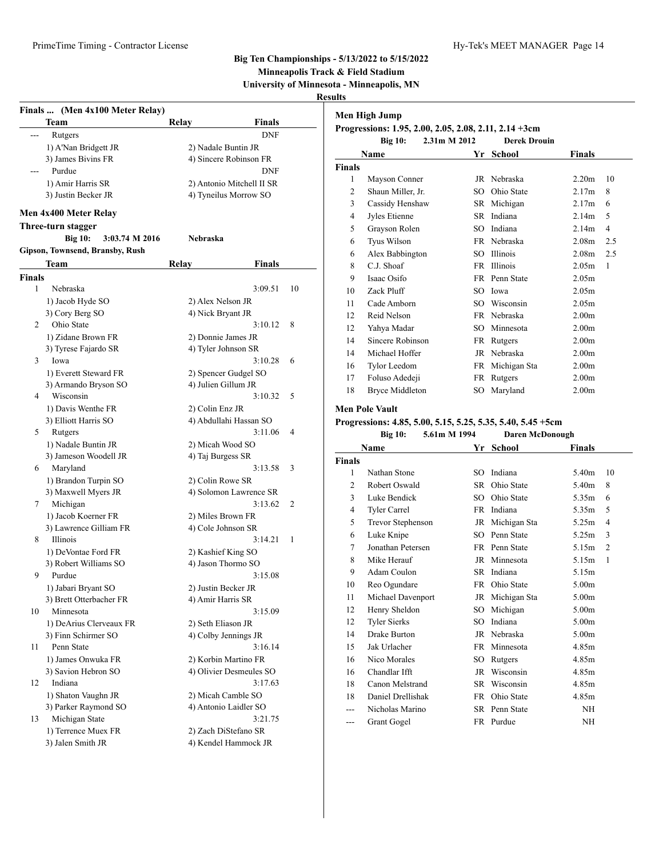**Minneapolis Track & Field Stadium**

**University of Minnesota - Minneapolis, MN**

**Results**

**Men High Jump**

|               | Finals  (Men 4x100 Meter Relay)  |                                            |    |
|---------------|----------------------------------|--------------------------------------------|----|
|               | Team                             | Relay<br>Finals                            |    |
|               | Rutgers                          | DNF                                        |    |
|               | 1) A'Nan Bridgett JR             | 2) Nadale Buntin JR                        |    |
|               | 3) James Bivins FR               | 4) Sincere Robinson FR                     |    |
|               | Purdue                           | DNF                                        |    |
|               | 1) Amir Harris SR                | 2) Antonio Mitchell II SR                  |    |
|               | 3) Justin Becker JR              | 4) Tyneilus Morrow SO                      |    |
|               | Men 4x400 Meter Relay            |                                            |    |
|               |                                  |                                            |    |
|               | Three-turn stagger               | Nebraska                                   |    |
|               | <b>Big 10:</b><br>3:03.74 M 2016 |                                            |    |
|               | Gipson, Townsend, Bransby, Rush  |                                            |    |
|               | Team                             | Relay<br><b>Finals</b>                     |    |
| <b>Finals</b> |                                  |                                            |    |
| 1             | Nebraska                         | 3:09.51                                    | 10 |
|               | 1) Jacob Hyde SO                 | 2) Alex Nelson JR                          |    |
|               | 3) Cory Berg SO                  | 4) Nick Bryant JR                          |    |
| 2             | Ohio State                       | 3:10.12                                    | 8  |
|               | 1) Zidane Brown FR               | 2) Donnie James JR                         |    |
|               | 3) Tyrese Fajardo SR             | 4) Tyler Johnson SR                        |    |
| 3             | Iowa                             | 3:10.28                                    | 6  |
|               | 1) Everett Steward FR            | 2) Spencer Gudgel SO                       |    |
|               | 3) Armando Bryson SO             | 4) Julien Gillum JR                        |    |
| 4             | Wisconsin                        | 3:10.32                                    | 5  |
|               | 1) Davis Wenthe FR               | 2) Colin Enz JR                            |    |
|               | 3) Elliott Harris SO             | 4) Abdullahi Hassan SO                     |    |
| 5             | Rutgers                          | 3:11.06                                    | 4  |
|               | 1) Nadale Buntin JR              | 2) Micah Wood SO                           |    |
|               | 3) Jameson Woodell JR            | 4) Taj Burgess SR                          |    |
| 6             | Maryland                         | 3:13.58                                    | 3  |
|               | 1) Brandon Turpin SO             | 2) Colin Rowe SR<br>4) Solomon Lawrence SR |    |
| 7             | 3) Maxwell Myers JR<br>Michigan  | 3:13.62                                    | 2  |
|               | 1) Jacob Koerner FR              | 2) Miles Brown FR                          |    |
|               | 3) Lawrence Gilliam FR           | 4) Cole Johnson SR                         |    |
| 8             | Illinois                         | 3:14.21                                    | 1  |
|               | 1) DeVontae Ford FR              | 2) Kashief King SO                         |    |
|               | 3) Robert Williams SO            | 4) Jason Thormo SO                         |    |
| 9             | Purdue                           | 3:15.08                                    |    |
|               | 1) Jabari Bryant SO              | 2) Justin Becker JR                        |    |
|               | 3) Brett Otterbacher FR          | 4) Amir Harris SR                          |    |
| 10            | Minnesota                        | 3:15.09                                    |    |
|               | 1) DeArius Clerveaux FR          | 2) Seth Eliason JR                         |    |
|               | 3) Finn Schirmer SO              | 4) Colby Jennings JR                       |    |
| 11            | Penn State                       | 3:16.14                                    |    |
|               | 1) James Onwuka FR               | 2) Korbin Martino FR                       |    |
|               | 3) Savion Hebron SO              | 4) Olivier Desmeules SO                    |    |
| 12            | Indiana                          | 3:17.63                                    |    |
|               | 1) Shaton Vaughn JR              | 2) Micah Camble SO                         |    |
|               | 3) Parker Raymond SO             | 4) Antonio Laidler SO                      |    |
| 13            | Michigan State                   | 3:21.75                                    |    |
|               | 1) Terrence Muex FR              | 2) Zach DiStefano SR                       |    |
|               | 3) Jalen Smith JR                | 4) Kendel Hammock JR                       |    |

**Progressions: 1.95, 2.00, 2.05, 2.08, 2.11, 2.14 +3cm Big 10: 2.31m M 2012 Derek Drouin Name Yr School Finals Finals** 1 Mayson Conner JR Nebraska 2.20m 10 2 Shaun Miller, Jr. SO Ohio State 2.17m 8<br>2 Cassidy Hansborn S. Michigan 2.17m 6 3 Cassidy Henshaw SR Michigan 2.17m 6

| 3  | Cassidy Henshaw        |     | SR Michigan   | 2.1/m             | O   |
|----|------------------------|-----|---------------|-------------------|-----|
| 4  | Jyles Etienne          |     | SR Indiana    | 2.14m             | 5   |
| 5  | Grayson Rolen          | SO. | Indiana       | 2.14m             | 4   |
| 6  | Tyus Wilson            |     | FR Nebraska   | 2.08 <sub>m</sub> | 2.5 |
| 6  | Alex Babbington        | SO  | Illinois      | 2.08 <sub>m</sub> | 2.5 |
| 8  | C.J. Shoaf             |     | FR Illinois   | 2.05 <sub>m</sub> | 1   |
| 9  | Isaac Osifo            |     | FR Penn State | 2.05 <sub>m</sub> |     |
| 10 | Zack Pluff             | SO  | Iowa          | 2.05 <sub>m</sub> |     |
| 11 | Cade Amborn            |     | SO Wisconsin  | 2.05 <sub>m</sub> |     |
| 12 | Reid Nelson            |     | FR Nebraska   | 2.00 <sub>m</sub> |     |
| 12 | Yahya Madar            | SO. | Minnesota     | 2.00 <sub>m</sub> |     |
| 14 | Sincere Robinson       | FR  | Rutgers       | 2.00 <sub>m</sub> |     |
| 14 | Michael Hoffer         | JR  | Nebraska      | 2.00 <sub>m</sub> |     |
| 16 | Tylor Leedom           | FR  | Michigan Sta  | 2.00 <sub>m</sub> |     |
| 17 | Foluso Adedeji         | FR  | Rutgers       | 2.00 <sub>m</sub> |     |
| 18 | <b>Bryce Middleton</b> | SO  | Maryland      | 2.00 <sub>m</sub> |     |

#### **Men Pole Vault**

## **Progressions: 4.85, 5.00, 5.15, 5.25, 5.35, 5.40, 5.45 +5cm**

**Big 10: 5.61m M 1994 Daren McDonough Name Yr School Finals Finals**

| ınaıs |                     |     |              |       |    |
|-------|---------------------|-----|--------------|-------|----|
| 1     | Nathan Stone        | SO. | Indiana      | 5.40m | 10 |
| 2     | Robert Oswald       | SR  | Ohio State   | 5.40m | 8  |
| 3     | Luke Bendick        | SO. | Ohio State   | 5.35m | 6  |
| 4     | <b>Tyler Carrel</b> | FR  | Indiana      | 5.35m | 5  |
| 5     | Trevor Stephenson   | JR  | Michigan Sta | 5.25m | 4  |
| 6     | Luke Knipe          | SO. | Penn State   | 5.25m | 3  |
| 7     | Jonathan Petersen   | FR. | Penn State   | 5.15m | 2  |
| 8     | Mike Herauf         | JR  | Minnesota    | 5.15m | 1  |
| 9     | Adam Coulon         | SR  | Indiana      | 5.15m |    |
| 10    | Reo Ogundare        | FR  | Ohio State   | 5.00m |    |
| 11    | Michael Davenport   | JR  | Michigan Sta | 5.00m |    |
| 12    | Henry Sheldon       | SO. | Michigan     | 5.00m |    |
| 12    | <b>Tyler Sierks</b> | SO  | Indiana      | 5.00m |    |
| 14    | Drake Burton        | JR  | Nebraska     | 5.00m |    |
| 15    | Jak Urlacher        | FR  | Minnesota    | 4.85m |    |
| 16    | Nico Morales        | SO  | Rutgers      | 4.85m |    |
| 16    | Chandlar Ifft       | JR  | Wisconsin    | 4.85m |    |
| 18    | Canon Melstrand     | SR. | Wisconsin    | 4.85m |    |
| 18    | Daniel Drellishak   | FR. | Ohio State   | 4.85m |    |
| ---   | Nicholas Marino     | SR  | Penn State   | NH    |    |
| ---   | <b>Grant Gogel</b>  | FR  | Purdue       | NH    |    |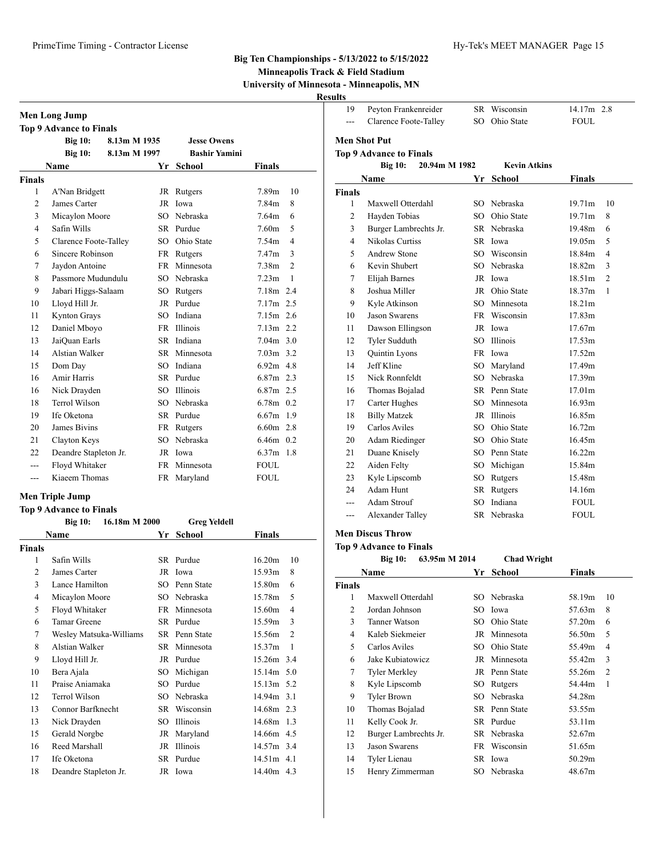## **Minneapolis Track & Field Stadium University of Minnesota - Minneapolis, MN**

**Results**

|                | <b>Men Long Jump</b><br><b>Top 9 Advance to Finals</b> |              |           |                      |                   |                | 19                | Pey<br>Cla |
|----------------|--------------------------------------------------------|--------------|-----------|----------------------|-------------------|----------------|-------------------|------------|
|                | <b>Big 10:</b>                                         | 8.13m M 1935 |           | <b>Jesse Owens</b>   |                   |                | <b>Men Shot F</b> |            |
|                | <b>Big 10:</b>                                         | 8.13m M 1997 |           | <b>Bashir Yamini</b> |                   |                | <b>Top 9 Adva</b> |            |
|                | Name                                                   |              | Yr        | School               | Finals            |                |                   |            |
| <b>Finals</b>  |                                                        |              |           |                      |                   |                |                   | Nam        |
| 1              | A'Nan Bridgett                                         |              |           | JR Rutgers           | 7.89m             | 10             | <b>Finals</b>     |            |
| $\overline{2}$ | James Carter                                           |              |           | JR Iowa              | 7.84m             | 8              | 1                 | Ma:        |
| 3              | Micaylon Moore                                         |              | SO        | Nebraska             | 7.64m             | 6              | 2                 | Hay        |
| $\overline{4}$ | Safin Wills                                            |              |           | SR Purdue            | 7.60 <sub>m</sub> | 5              | 3                 | Bur        |
| 5              | Clarence Foote-Talley                                  |              | SO        | Ohio State           | 7.54m             | 4              | $\overline{4}$    | Nik        |
| 6              | Sincere Robinson                                       |              |           | FR Rutgers           | 7.47 <sub>m</sub> | 3              | 5                 | Ano        |
| $\tau$         | Jaydon Antoine                                         |              | <b>FR</b> | Minnesota            | 7.38 <sub>m</sub> | $\overline{c}$ | 6                 | Key        |
| 8              | Passmore Mudundulu                                     |              | SO.       | Nebraska             | 7.23m             | 1              | 7                 | Elij       |
| 9              | Jabari Higgs-Salaam                                    |              | SO.       | Rutgers              | 7.18m 2.4         |                | 8                 | Josl       |
| 10             | Lloyd Hill Jr.                                         |              |           | JR Purdue            | $7.17m$ 2.5       |                | 9                 | Kyl        |
| 11             | <b>Kynton Grays</b>                                    |              | SO.       | Indiana              | $7.15m$ 2.6       |                | 10                | Jaso       |
| 12             | Daniel Mboyo                                           |              |           | FR Illinois          | $7.13m$ 2.2       |                | 11                | Day        |
| 13             | JaiQuan Earls                                          |              | SR.       | Indiana              | $7.04m$ 3.0       |                | 12                | Tyle       |
| 14             | Alstian Walker                                         |              | <b>SR</b> | Minnesota            | $7.03m$ 3.2       |                | 13                | Qui        |
| 15             | Dom Day                                                |              | SO.       | Indiana              | $6.92m$ 4.8       |                | 14                | Jeff       |
| 16             | Amir Harris                                            |              |           | SR Purdue            | $6.87m$ 2.3       |                | 15                | Nic        |
| 16             | Nick Drayden                                           |              | SO.       | Illinois             | 6.87m 2.5         |                | 16                | Tho        |
| 18             | Terrol Wilson                                          |              |           | SO Nebraska          | 6.78m 0.2         |                | 17                | Car        |
| 19             | Ife Oketona                                            |              |           | SR Purdue            | $6.67m$ 1.9       |                | 18                | Bill       |
| 20             | James Bivins                                           |              |           | FR Rutgers           | $6.60m$ 2.8       |                | 19                | Car        |
| 21             | Clayton Keys                                           |              |           | SO Nebraska          | 6.46m 0.2         |                | 20                | Ada        |
| 22             | Deandre Stapleton Jr.                                  |              |           | JR Iowa              | $6.37m$ 1.8       |                | 21                | Dua        |
| $---$          | Floyd Whitaker                                         |              |           | FR Minnesota         | <b>FOUL</b>       |                | 22                | Aid        |
| $---$          | Kiaeem Thomas                                          |              |           | FR Maryland          | <b>FOUL</b>       |                | 23                | Kyl        |

#### **Men Triple Jump**

## **Top 9 Advance to Finals**

|                | 16.18m M 2000<br><b>Big 10:</b> |     | <b>Greg Yeldell</b> |                    |                |
|----------------|---------------------------------|-----|---------------------|--------------------|----------------|
|                | Name                            | Yr  | School              | Finals             |                |
| <b>Finals</b>  |                                 |     |                     |                    |                |
| 1              | Safin Wills                     |     | SR Purdue           | 16.20m             | 10             |
| $\overline{2}$ | James Carter                    | JR  | Iowa                | 15.93 <sub>m</sub> | 8              |
| 3              | Lance Hamilton                  | SO  | Penn State          | 15.80m             | 6              |
| $\overline{4}$ | Micaylon Moore                  | SO. | Nebraska            | 15.78m             | 5              |
| 5              | Floyd Whitaker                  | FR  | Minnesota           | 15.60m             | 4              |
| 6              | <b>Tamar Greene</b>             | SR  | Purdue              | 15.59m             | 3              |
| 7              | Wesley Matsuka-Williams         | SR. | Penn State          | 15.56m             | $\overline{2}$ |
| 8              | Alstian Walker                  | SR. | Minnesota           | 15.37m             | 1              |
| 9              | Lloyd Hill Jr.                  | JR  | Purdue              | 15.26m 3.4         |                |
| 10             | Bera Ajala                      | SО  | Michigan            | 15.14m 5.0         |                |
| 11             | Praise Aniamaka                 | SO. | Purdue              | 15.13m 5.2         |                |
| 12             | Terrol Wilson                   | SO. | Nebraska            | 14.94m 3.1         |                |
| 13             | Connor Barfknecht               | SR  | Wisconsin           | 14.68m 2.3         |                |
| 13             | Nick Drayden                    | SO  | Illinois            | 14.68m 1.3         |                |
| 15             | Gerald Norgbe                   | JR  | Maryland            | 14.66m 4.5         |                |
| 16             | Reed Marshall                   | JR  | Illinois            | 14.57m 3.4         |                |
| 17             | Ife Oketona                     | SR  | Purdue              | 14.51m 4.1         |                |
| 18             | Deandre Stapleton Jr.           |     | JR Iowa             | 14.40m 4.3         |                |

| 19             | Peyton Frankenreider            |        | SR Wisconsin        | 14.17m 2.8                           |  |
|----------------|---------------------------------|--------|---------------------|--------------------------------------|--|
| ---            | Clarence Foote-Talley           | $SO^-$ | Ohio State          | <b>FOUL</b>                          |  |
|                | <b>Men Shot Put</b>             |        |                     |                                      |  |
|                | <b>Top 9 Advance to Finals</b>  |        |                     |                                      |  |
|                | <b>Big 10:</b><br>20.94m M 1982 |        | <b>Kevin Atkins</b> |                                      |  |
|                | Name                            | Yr     | <b>School</b>       | <b>Finals</b>                        |  |
| Finals         |                                 |        |                     |                                      |  |
| 1              | Maxwell Otterdahl               | SO.    | Nebraska            | 19.71m<br>10                         |  |
| $\overline{c}$ | Hayden Tobias                   |        | SO Ohio State       | 19.71m<br>8                          |  |
| 3              | Burger Lambrechts Jr.           |        | SR Nebraska         | 6<br>19.48m                          |  |
| $\overline{4}$ | Nikolas Curtiss                 |        | SR Iowa             | 19.05m<br>5                          |  |
| 5              | Andrew Stone                    |        | SO Wisconsin        | 18.84m<br>4                          |  |
| 6              | Kevin Shubert                   |        | SO Nebraska         | 18.82m<br>3                          |  |
| 7              | Elijah Barnes                   |        | JR Iowa             | 18.51 <sub>m</sub><br>$\overline{2}$ |  |
| 8              | Joshua Miller                   |        | JR Ohio State       | 18.37m<br>1                          |  |
| 9              | Kyle Atkinson                   |        | SO Minnesota        | 18.21m                               |  |
| 10             | <b>Jason Swarens</b>            |        | FR Wisconsin        | 17.83m                               |  |
| 11             | Dawson Ellingson                |        | JR Iowa             | 17.67m                               |  |
| 12             | Tyler Sudduth                   |        | SO Illinois         | 17.53m                               |  |
| 13             | Quintin Lyons                   |        | FR Iowa             | 17.52m                               |  |
| 14             | Jeff Kline                      | SO     | Maryland            | 17.49m                               |  |
| 15             | Nick Ronnfeldt                  | SO.    | Nebraska            | 17.39m                               |  |
| 16             | Thomas Bojalad                  |        | SR Penn State       | 17.01m                               |  |
| 17             | Carter Hughes                   |        | SO Minnesota        | 16.93m                               |  |
| 18             | <b>Billy Matzek</b>             |        | JR Illinois         | 16.85m                               |  |
| 19             | Carlos Aviles                   | SO.    | Ohio State          | 16.72m                               |  |
| 20             | Adam Riedinger                  | SO.    | Ohio State          | 16.45m                               |  |
| 21             | Duane Knisely                   |        | SO Penn State       | 16.22m                               |  |
| 22             | Aiden Felty                     |        | SO Michigan         | 15.84m                               |  |
| 23             | Kyle Lipscomb                   | SO     | Rutgers             | 15.48m                               |  |
| 24             | Adam Hunt                       | SR     | Rutgers             | 14.16m                               |  |
| ---            | Adam Strouf                     | SO.    | Indiana             | <b>FOUL</b>                          |  |
| $---$          | Alexander Talley                |        | SR Nebraska         | <b>FOUL</b>                          |  |

#### **Men Discus Throw**

## **Top 9 Advance to Finals**

|               | $Big$ 10:             | 63.95m M 2014 |     | <b>Chad Wright</b> |        |    |
|---------------|-----------------------|---------------|-----|--------------------|--------|----|
|               | Name                  |               | Yr  | <b>School</b>      | Finals |    |
| <b>Finals</b> |                       |               |     |                    |        |    |
| 1             | Maxwell Otterdahl     |               |     | SO Nebraska        | 58.19m | 10 |
| 2             | Jordan Johnson        |               | SO. | Iowa               | 57.63m | 8  |
| 3             | Tanner Watson         |               |     | SO Ohio State      | 57.20m | 6  |
| 4             | Kaleb Siekmeier       |               |     | JR Minnesota       | 56.50m | 5  |
| 5             | Carlos Aviles         |               | SO. | Ohio State         | 55.49m | 4  |
| 6             | Jake Kubiatowicz      |               | JR  | Minnesota          | 55.42m | 3  |
| 7             | <b>Tyler Merkley</b>  |               |     | JR Penn State      | 55.26m | 2  |
| 8             | Kyle Lipscomb         |               | SO. | Rutgers            | 54.44m | 1  |
| 9             | Tyler Brown           |               | SO. | Nebraska           | 54.28m |    |
| 10            | Thomas Bojalad        |               |     | SR Penn State      | 53.55m |    |
| 11            | Kelly Cook Jr.        |               |     | SR Purdue          | 53.11m |    |
| 12            | Burger Lambrechts Jr. |               |     | SR Nebraska        | 52.67m |    |
| 13            | <b>Jason Swarens</b>  |               |     | FR Wisconsin       | 51.65m |    |
| 14            | Tyler Lienau          |               |     | SR Iowa            | 50.29m |    |
| 15            | Henry Zimmerman       |               |     | SO Nebraska        | 48.67m |    |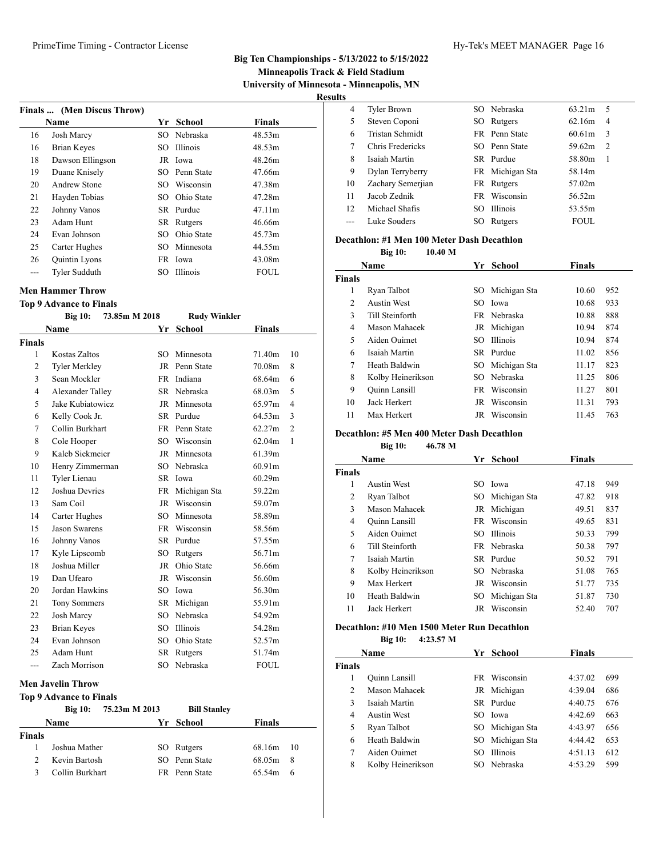**Minneapolis Track & Field Stadium University of Minnesota - Minneapolis, MN**

**Results**

|    | Finals  (Men Discus Throw) |     |                 |               |  |
|----|----------------------------|-----|-----------------|---------------|--|
|    | Name                       | Yr  | School          | <b>Finals</b> |  |
| 16 | <b>Josh Marcy</b>          |     | SO Nebraska     | 48.53m        |  |
| 16 | <b>Brian Keyes</b>         | SO. | <i>Illinois</i> | 48.53m        |  |
| 18 | Dawson Ellingson           |     | JR Iowa         | 48.26m        |  |
| 19 | Duane Knisely              |     | SO Penn State   | 47.66m        |  |
| 20 | Andrew Stone               | SO. | Wisconsin       | 47.38m        |  |
| 21 | Hayden Tobias              | SO. | Ohio State      | 47.28m        |  |
| 22 | Johnny Vanos               |     | SR Purdue       | 47.11m        |  |
| 23 | Adam Hunt                  |     | SR Rutgers      | 46.66m        |  |
| 24 | Evan Johnson               | SO. | Ohio State      | 45.73m        |  |
| 25 | Carter Hughes              | SO. | Minnesota       | 44.55m        |  |
| 26 | <b>Quintin Lyons</b>       |     | FR Iowa         | 43.08m        |  |
|    | Tyler Sudduth              | SO. | <i>Illinois</i> | FOUL.         |  |

#### **Men Hammer Throw**

## **Top 9 Advance to Finals**

|                | <b>Big 10:</b>       | 73.85m M 2018 | <b>Rudy Winkler</b> |                    |                |
|----------------|----------------------|---------------|---------------------|--------------------|----------------|
|                | Name                 | Yr            | School              | Finals             |                |
| <b>Finals</b>  |                      |               |                     |                    |                |
| 1              | Kostas Zaltos        | SO.           | Minnesota           | 71.40m             | 10             |
| $\overline{2}$ | <b>Tyler Merkley</b> | JR            | Penn State          | 70.08m             | 8              |
| 3              | Sean Mockler         | FR            | Indiana             | 68.64m             | 6              |
| 4              | Alexander Talley     | SR.           | Nebraska            | 68.03m             | 5              |
| 5              | Jake Kubiatowicz     | JR            | Minnesota           | 65.97m             | $\overline{4}$ |
| 6              | Kelly Cook Jr.       | SR.           | Purdue              | 64.53m             | 3              |
| 7              | Collin Burkhart      | FR.           | Penn State          | 62.27m             | $\overline{2}$ |
| 8              | Cole Hooper          | SO.           | Wisconsin           | 62.04m             | 1              |
| 9              | Kaleb Siekmeier      | JR            | Minnesota           | 61.39m             |                |
| 10             | Henry Zimmerman      | SO.           | Nebraska            | 60.91 <sub>m</sub> |                |
| 11             | Tyler Lienau         | SR.           | Iowa                | 60.29m             |                |
| 12             | Joshua Devries       | FR            | Michigan Sta        | 59.22m             |                |
| 13             | Sam Coil             | JR            | Wisconsin           | 59.07m             |                |
| 14             | Carter Hughes        | SO.           | Minnesota           | 58.89m             |                |
| 15             | <b>Jason Swarens</b> | FR            | Wisconsin           | 58.56m             |                |
| 16             | Johnny Vanos         | SR.           | Purdue              | 57.55m             |                |
| 17             | Kyle Lipscomb        | SO            | Rutgers             | 56.71m             |                |
| 18             | Joshua Miller        | JR            | Ohio State          | 56.66m             |                |
| 19             | Dan Ufearo           | JR            | Wisconsin           | 56.60m             |                |
| 20             | Jordan Hawkins       | SO.           | Iowa                | 56.30m             |                |
| 21             | <b>Tony Sommers</b>  | SR            | Michigan            | 55.91m             |                |
| 22             | <b>Josh Marcy</b>    | SO.           | Nebraska            | 54.92m             |                |
| 23             | <b>Brian Keyes</b>   | SO            | Illinois            | 54.28m             |                |
| 24             | Evan Johnson         | SO            | Ohio State          | 52.57m             |                |
| 25             | Adam Hunt            | SR            | Rutgers             | 51.74m             |                |
| $---$          | Zach Morrison        | SO            | Nebraska            | <b>FOUL</b>        |                |

# **Men Javelin Throw**<br>Top 9 Advance to Finals

|               | <b>Top 9 Advance to Finals</b> |               |                      |               |   |
|---------------|--------------------------------|---------------|----------------------|---------------|---|
|               | Big 10:                        | 75.23m M 2013 | <b>Bill Stanley</b>  |               |   |
|               | Name                           |               | Yr School            | <b>Finals</b> |   |
| <b>Finals</b> |                                |               |                      |               |   |
|               | Joshua Mather                  |               | SO Rutgers           | 68.16m 10     |   |
|               | Kevin Bartosh                  |               | SO Penn State        | 68.05m        | 8 |
| ٩             | Collin Burkhart                |               | <b>FR</b> Penn State | 65.54m        | 6 |
|               |                                |               |                      |               |   |

| 4  | Tyler Brown       |     | SO Nebraska     | 63.21m      | - 5 |
|----|-------------------|-----|-----------------|-------------|-----|
| 5  | Steven Coponi     |     | SO Rutgers      | 62.16m      | 4   |
| 6  | Tristan Schmidt   |     | FR Penn State   | 60.61m      | 3   |
| 7  | Chris Fredericks  |     | SO Penn State   | 59.62m      | 2   |
| 8  | Isaiah Martin     |     | SR Purdue       | 58.80m      | 1   |
| 9  | Dylan Terryberry  |     | FR Michigan Sta | 58.14m      |     |
| 10 | Zachary Semerjian |     | FR Rutgers      | 57.02m      |     |
| 11 | Jacob Zednik      |     | FR Wisconsin    | 56.52m      |     |
| 12 | Michael Shafis    |     | SO Illinois     | 53.55m      |     |
|    | Luke Souders      | SO. | Rutgers         | <b>FOUL</b> |     |

#### **Decathlon: #1 Men 100 Meter Dash Decathlon**

**Big 10: 10.40 M**

|               | Name              | Yr  | <b>School</b>   | <b>Finals</b> |     |
|---------------|-------------------|-----|-----------------|---------------|-----|
| <b>Finals</b> |                   |     |                 |               |     |
| 1             | Ryan Talbot       |     | SO Michigan Sta | 10.60         | 952 |
| 2             | Austin West       |     | SO Iowa         | 10.68         | 933 |
| 3             | Till Steinforth   |     | FR Nebraska     | 10.88         | 888 |
| 4             | Mason Mahacek     | JR  | Michigan        | 10.94         | 874 |
| 5             | Aiden Ouimet      | SO. | <b>Illinois</b> | 10.94         | 874 |
| 6             | Isaiah Martin     |     | SR Purdue       | 11.02         | 856 |
| 7             | Heath Baldwin     |     | SO Michigan Sta | 11.17         | 823 |
| 8             | Kolby Heinerikson |     | SO Nebraska     | 11.25         | 806 |
| 9             | Quinn Lansill     | FR  | Wisconsin       | 11.27         | 801 |
| 10            | Jack Herkert      | JR  | Wisconsin       | 11.31         | 793 |
| 11            | Max Herkert       | JR  | Wisconsin       | 11.45         | 763 |

#### **Decathlon: #5 Men 400 Meter Dash Decathlon**

**Big 10: 46.78 M**

|               | Name              | Yr. | <b>School</b>       | <b>Finals</b> |     |
|---------------|-------------------|-----|---------------------|---------------|-----|
| <b>Finals</b> |                   |     |                     |               |     |
| 1             | Austin West       |     | SO Iowa             | 47.18         | 949 |
| 2             | Ryan Talbot       |     | SO Michigan Sta     | 47.82         | 918 |
| 3             | Mason Mahacek     |     | JR Michigan         | 49.51         | 837 |
| 4             | Quinn Lansill     |     | FR Wisconsin        | 49.65         | 831 |
| 5             | Aiden Ouimet      |     | SO Illinois         | 50.33         | 799 |
| 6             | Till Steinforth   |     | FR Nebraska         | 50.38         | 797 |
| 7             | Isaiah Martin     |     | SR Purdue           | 50.52         | 791 |
| 8             | Kolby Heinerikson |     | SO Nebraska         | 51.08         | 765 |
| 9             | Max Herkert       |     | <b>IR</b> Wisconsin | 51.77         | 735 |
| 10            | Heath Baldwin     | SO  | Michigan Sta        | 51.87         | 730 |
| 11            | Jack Herkert      | JR  | Wisconsin           | 52.40         | 707 |
|               |                   |     |                     |               |     |

#### **Decathlon: #10 Men 1500 Meter Run Decathlon**

**Big 10: 4:23.57 M**

|                | Name              | Үr  | School          | <b>Finals</b> |     |
|----------------|-------------------|-----|-----------------|---------------|-----|
| <b>Finals</b>  |                   |     |                 |               |     |
|                | Quinn Lansill     | FR  | Wisconsin       | 4:37.02       | 699 |
| $\mathfrak{D}$ | Mason Mahacek     |     | JR Michigan     | 4:39.04       | 686 |
| 3              | Isaiah Martin     |     | SR Purdue       | 4:40.75       | 676 |
| 4              | Austin West       |     | SO Iowa         | 4:42.69       | 663 |
| 5              | Ryan Talbot       |     | SO Michigan Sta | 4:43.97       | 656 |
| 6              | Heath Baldwin     |     | SO Michigan Sta | 4:44.42       | 653 |
| 7              | Aiden Ouimet      | SO. | <b>Illinois</b> | 4:51.13       | 612 |
| 8              | Kolby Heinerikson | SO. | Nebraska        | 4:53.29       | 599 |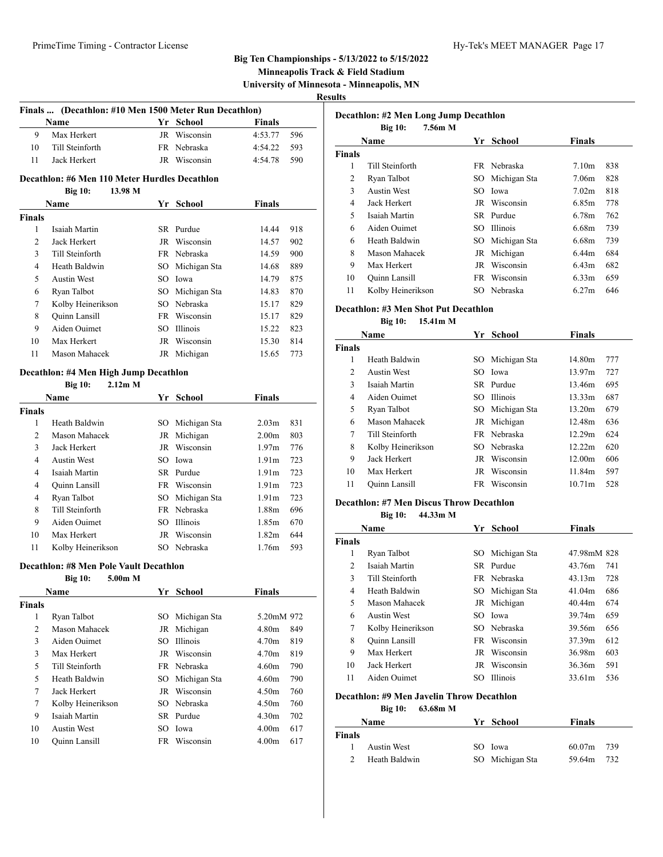## **Minneapolis Track & Field Stadium University of Minnesota - Minneapolis, MN**

**Results**

l,

|                | Finals  (Decathlon: #10 Men 1500 Meter Run Decathlon) |                 |                   |     |
|----------------|-------------------------------------------------------|-----------------|-------------------|-----|
|                | Name                                                  | Yr School       | <b>Finals</b>     |     |
| 9              | Max Herkert                                           | JR Wisconsin    | 4:53.77           | 596 |
| 10             | Till Steinforth                                       | FR Nebraska     | 4:54.22           | 593 |
| 11             | Jack Herkert                                          | JR Wisconsin    | 4:54.78           | 590 |
|                | Decathlon: #6 Men 110 Meter Hurdles Decathlon         |                 |                   |     |
|                | 13.98 M<br><b>Big 10:</b>                             |                 |                   |     |
|                | <b>Name</b>                                           | Yr School       | <b>Finals</b>     |     |
| <b>Finals</b>  |                                                       |                 |                   |     |
| 1              | Isaiah Martin                                         | SR Purdue       | 14.44             | 918 |
| $\overline{2}$ | Jack Herkert                                          | JR Wisconsin    | 14.57             | 902 |
| 3              | Till Steinforth                                       | FR Nebraska     | 14.59             | 900 |
| $\overline{4}$ | Heath Baldwin                                         | SO Michigan Sta | 14.68             | 889 |
| 5              | Austin West                                           | SO Iowa         | 14.79             | 875 |
| 6              | Ryan Talbot                                           | SO Michigan Sta | 14.83             | 870 |
| 7              | Kolby Heinerikson                                     | SO Nebraska     | 15.17             | 829 |
| 8              | <b>Quinn Lansill</b>                                  | FR Wisconsin    | 15.17             | 829 |
| 9              | Aiden Ouimet                                          | SO Illinois     | 15.22             | 823 |
| 10             | Max Herkert                                           | JR Wisconsin    | 15.30             | 814 |
| 11             | Mason Mahacek                                         | JR Michigan     | 15.65             | 773 |
|                | Decathlon: #4 Men High Jump Decathlon                 |                 |                   |     |
|                | $2.12m$ M<br><b>Big 10:</b>                           |                 |                   |     |
|                | <b>Name</b>                                           | Yr School       | Finals            |     |
| <b>Finals</b>  |                                                       |                 |                   |     |
| 1              | Heath Baldwin                                         | SO Michigan Sta | 2.03 <sub>m</sub> | 831 |
| $\overline{2}$ | Mason Mahacek                                         | JR Michigan     | 2.00 <sub>m</sub> | 803 |
| 3              | Jack Herkert                                          | JR Wisconsin    | 1.97m             | 776 |
| $\overline{4}$ | <b>Austin West</b>                                    | SO Iowa         | 1.91 <sub>m</sub> | 723 |
| $\overline{4}$ | Isaiah Martin                                         | SR Purdue       | 1.91 <sub>m</sub> | 723 |
| $\overline{4}$ | Quinn Lansill                                         | FR Wisconsin    | 1.91 <sub>m</sub> | 723 |
| $\overline{4}$ | Ryan Talbot                                           | SO Michigan Sta | 1.91 <sub>m</sub> | 723 |
| 8              | Till Steinforth                                       | FR Nebraska     | 1.88m             | 696 |
| 9              | Aiden Ouimet                                          | SO Illinois     | 1.85m             | 670 |
| 10             | Max Herkert                                           | JR Wisconsin    | 1.82 <sub>m</sub> | 644 |
| 11             | Kolby Heinerikson                                     | SO Nebraska     | 1.76m             | 593 |
|                | <b>Decathlon: #8 Men Pole Vault Decathlon</b>         |                 |                   |     |
|                | <b>Big 10:</b><br>5.00m M                             |                 |                   |     |
|                | <b>Name</b>                                           | Yr School       | Finals            |     |
| <b>Finals</b>  |                                                       |                 |                   |     |
| $\mathbf{1}$   | Ryan Talbot                                           | SO Michigan Sta | 5.20mM 972        |     |
| $\overline{c}$ | Mason Mahacek                                         | JR Michigan     | 4.80m             | 849 |
| 3              | Aiden Ouimet                                          | SO Illinois     | 4.70m             | 819 |
| 3              | Max Herkert                                           | JR Wisconsin    | 4.70m             | 819 |

 Till Steinforth FR Nebraska 4.60m 790 Heath Baldwin SO Michigan Sta 4.60m 790 Jack Herkert JR Wisconsin 4.50m 760 Kolby Heinerikson SO Nebraska 4.50m 760 Isaiah Martin SR Purdue 4.30m 702 10 Austin West SO Iowa 4.00m 617 Quinn Lansill FR Wisconsin 4.00m 617

|        | Decathlon: #2 Men Long Jump Decathlon<br><b>Big 10:</b> | 7.56m M |                 |                   |     |  |
|--------|---------------------------------------------------------|---------|-----------------|-------------------|-----|--|
|        | Name                                                    | Yr      | School          | <b>Finals</b>     |     |  |
| Finals |                                                         |         |                 |                   |     |  |
| 1      | Till Steinforth                                         |         | FR Nebraska     | 7.10 <sub>m</sub> | 838 |  |
| 2      | Ryan Talbot                                             | SO.     | Michigan Sta    | 7.06m             | 828 |  |
| 3      | Austin West                                             | SO.     | Iowa            | 7.02 <sub>m</sub> | 818 |  |
| 4      | Jack Herkert                                            | JR      | Wisconsin       | 6.85m             | 778 |  |
| 5      | Isaiah Martin                                           | SR      | Purdue          | 6.78m             | 762 |  |
| 6      | Aiden Ouimet                                            | SO.     | <b>Illinois</b> | 6.68m             | 739 |  |
| 6      | Heath Baldwin                                           | SO      | Michigan Sta    | 6.68m             | 739 |  |
| 8      | Mason Mahacek                                           | JR      | Michigan        | 6.44m             | 684 |  |
| 9      | Max Herkert                                             | JR      | Wisconsin       | 6.43m             | 682 |  |
| 10     | Quinn Lansill                                           |         | FR Wisconsin    | 6.33 <sub>m</sub> | 659 |  |
| 11     | Kolby Heinerikson                                       |         | SO Nebraska     | 6.27m             | 646 |  |
|        |                                                         |         |                 |                   |     |  |

#### **Decathlon: #3 Men Shot Put Decathlon**

**Big 10: 15.41m M**

|               | <b>Name</b>       | Yr | <b>School</b>   | <b>Finals</b>      |     |
|---------------|-------------------|----|-----------------|--------------------|-----|
| <b>Finals</b> |                   |    |                 |                    |     |
|               | Heath Baldwin     |    | SO Michigan Sta | 14.80m             | 777 |
| 2             | Austin West       |    | SO Iowa         | 13.97m             | 727 |
| 3             | Isaiah Martin     |    | SR Purdue       | 13.46m             | 695 |
| 4             | Aiden Ouimet      |    | SO Illinois     | 13.33m             | 687 |
| 5             | Ryan Talbot       |    | SO Michigan Sta | 13.20m             | 679 |
| 6             | Mason Mahacek     |    | JR Michigan     | 12.48m             | 636 |
| 7             | Till Steinforth   |    | FR Nebraska     | 12.29m             | 624 |
| 8             | Kolby Heinerikson |    | SO Nebraska     | 12.22m             | 620 |
| 9             | Jack Herkert      |    | JR Wisconsin    | 12.00 <sub>m</sub> | 606 |
| 10            | Max Herkert       | JR | Wisconsin       | 11.84m             | 597 |
| 11            | Ouinn Lansill     | FR | Wisconsin       | 10.71 <sub>m</sub> | 528 |
|               |                   |    |                 |                    |     |

#### **Decathlon: #7 Men Discus Throw Decathlon Big 10: 44.33m M**

|               | DIE 10:<br>44.JJIII M |     |                 |               |
|---------------|-----------------------|-----|-----------------|---------------|
|               | Name                  |     | Yr School       | <b>Finals</b> |
| <b>Finals</b> |                       |     |                 |               |
| 1             | Ryan Talbot           |     | SO Michigan Sta | 47.98mM 828   |
| 2             | Isaiah Martin         |     | SR Purdue       | 43.76m<br>741 |
| 3             | Till Steinforth       |     | FR Nebraska     | 728<br>43.13m |
| 4             | Heath Baldwin         |     | SO Michigan Sta | 686<br>41.04m |
| 5             | Mason Mahacek         |     | JR Michigan     | 674<br>40.44m |
| 6             | Austin West           |     | SO Iowa         | 659<br>39.74m |
| 7             | Kolby Heinerikson     |     | SO Nebraska     | 656<br>39.56m |
| 8             | Quinn Lansill         |     | FR Wisconsin    | 612<br>37.39m |
| 9             | Max Herkert           | JR  | Wisconsin       | 603<br>36.98m |
| 10            | Jack Herkert          |     | JR Wisconsin    | 591<br>36.36m |
| 11            | Aiden Ouimet          | SO. | <b>Illinois</b> | 536<br>33.61m |

## **Decathlon: #9 Men Javelin Throw Decathlon**

**Big 10: 63.68m M**

|        | <b>Name</b>   | Yr School       | <b>Finals</b> |  |
|--------|---------------|-----------------|---------------|--|
| Finals |               |                 |               |  |
| 1      | Austin West   | SO Iowa         | 60.07m 739    |  |
|        | Heath Baldwin | SO Michigan Sta | 59.64m 732    |  |